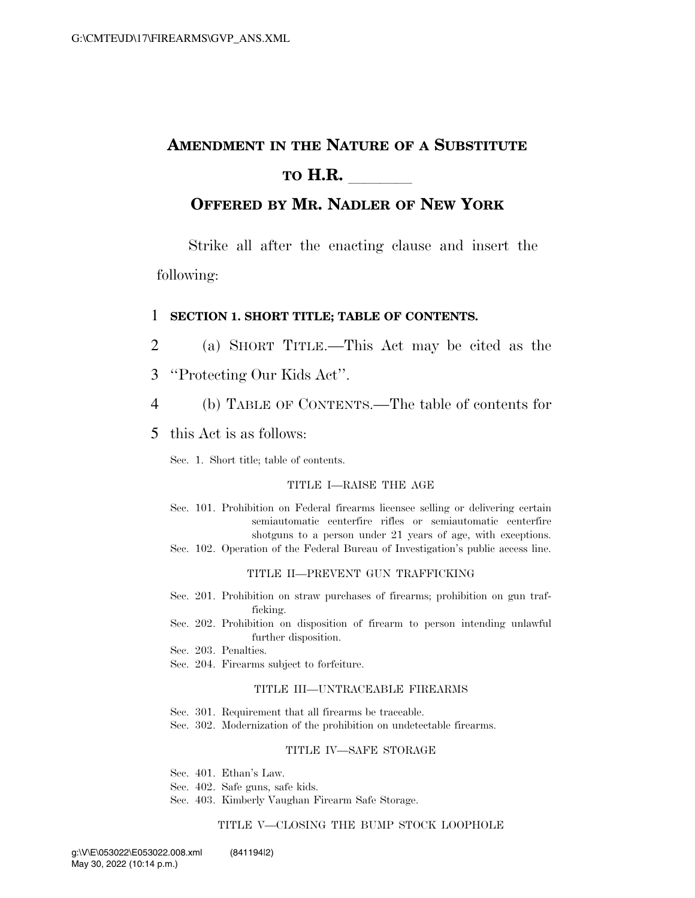# **AMENDMENT IN THE NATURE OF A SUBSTITUTE TO H.R.**

### **OFFERED BY MR. NADLER OF NEW YORK**

Strike all after the enacting clause and insert the following:

### 1 **SECTION 1. SHORT TITLE; TABLE OF CONTENTS.**

- 2 (a) SHORT TITLE.—This Act may be cited as the
- 3 ''Protecting Our Kids Act''.
- 4 (b) TABLE OF CONTENTS.—The table of contents for
- 5 this Act is as follows:

Sec. 1. Short title; table of contents.

#### TITLE I—RAISE THE AGE

Sec. 101. Prohibition on Federal firearms licensee selling or delivering certain semiautomatic centerfire rifles or semiautomatic centerfire shotguns to a person under 21 years of age, with exceptions. Sec. 102. Operation of the Federal Bureau of Investigation's public access line.

#### TITLE II—PREVENT GUN TRAFFICKING

- Sec. 201. Prohibition on straw purchases of firearms; prohibition on gun trafficking.
- Sec. 202. Prohibition on disposition of firearm to person intending unlawful further disposition.
- Sec. 203. Penalties.
- Sec. 204. Firearms subject to forfeiture.

#### TITLE III—UNTRACEABLE FIREARMS

- Sec. 301. Requirement that all firearms be traceable.
- Sec. 302. Modernization of the prohibition on undetectable firearms.

#### TITLE IV—SAFE STORAGE

- Sec. 401. Ethan's Law.
- Sec. 402. Safe guns, safe kids.
- Sec. 403. Kimberly Vaughan Firearm Safe Storage.

#### TITLE V—CLOSING THE BUMP STOCK LOOPHOLE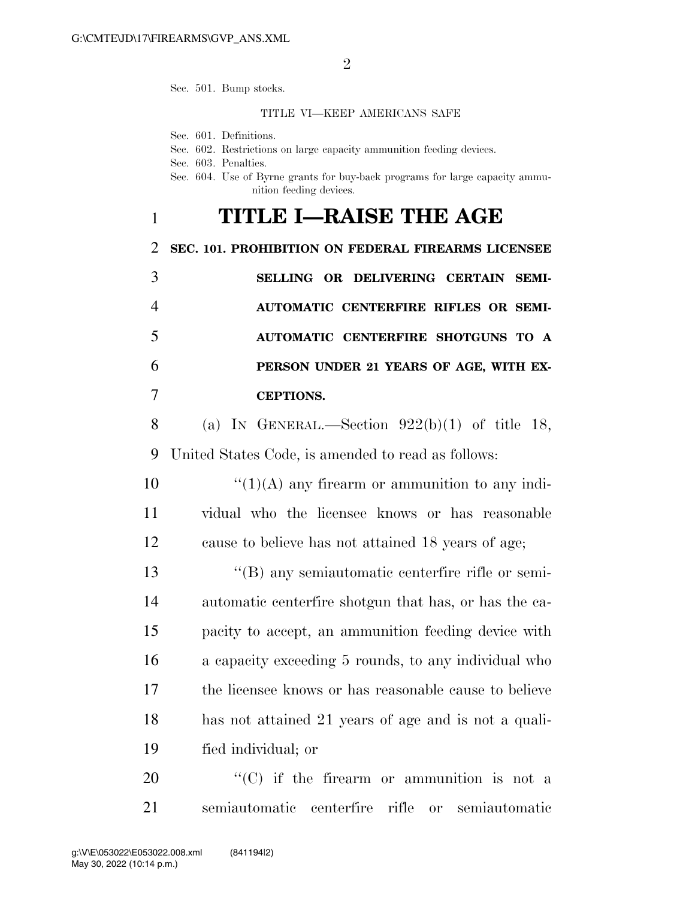Sec. 501. Bump stocks.

### TITLE VI—KEEP AMERICANS SAFE

Sec. 601. Definitions.

- Sec. 602. Restrictions on large capacity ammunition feeding devices.
- Sec. 603. Penalties.
- Sec. 604. Use of Byrne grants for buy-back programs for large capacity ammunition feeding devices.

## 1 **TITLE I—RAISE THE AGE**

2 **SEC. 101. PROHIBITION ON FEDERAL FIREARMS LICENSEE** 

 **SELLING OR DELIVERING CERTAIN SEMI- AUTOMATIC CENTERFIRE RIFLES OR SEMI- AUTOMATIC CENTERFIRE SHOTGUNS TO A PERSON UNDER 21 YEARS OF AGE, WITH EX-CEPTIONS.** 

8 (a) IN GENERAL.—Section  $922(b)(1)$  of title 18, 9 United States Code, is amended to read as follows:

10  $\frac{10}{(1)(\text{A})}$  any firearm or ammunition to any indi-11 vidual who the licensee knows or has reasonable 12 cause to believe has not attained 18 years of age;

 ''(B) any semiautomatic centerfire rifle or semi- automatic centerfire shotgun that has, or has the ca- pacity to accept, an ammunition feeding device with a capacity exceeding 5 rounds, to any individual who the licensee knows or has reasonable cause to believe has not attained 21 years of age and is not a quali-fied individual; or

20  $\langle ^{\prime}(C)$  if the firearm or ammunition is not a 21 semiautomatic centerfire rifle or semiautomatic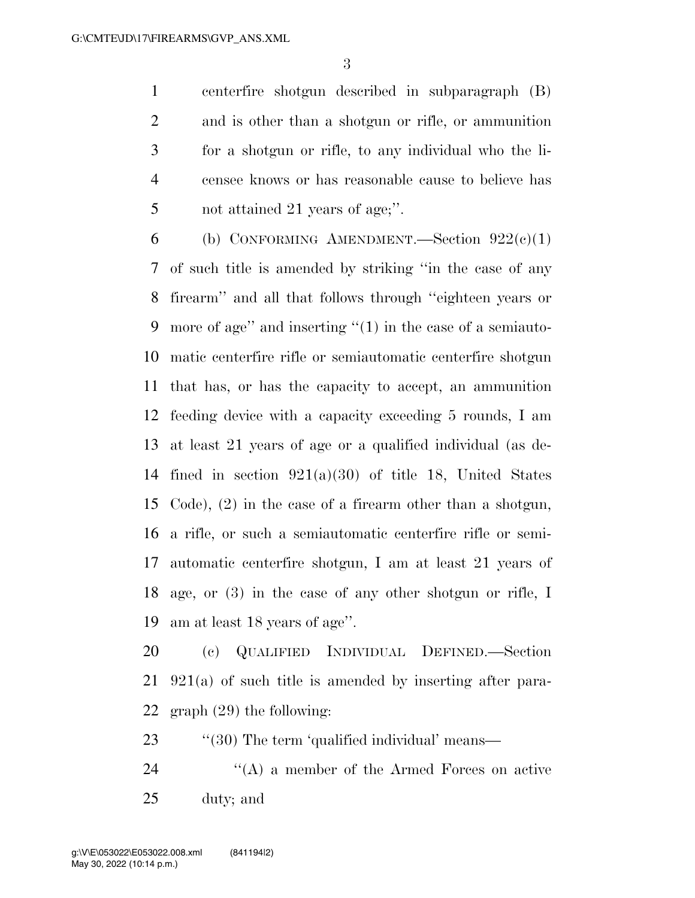centerfire shotgun described in subparagraph (B) and is other than a shotgun or rifle, or ammunition for a shotgun or rifle, to any individual who the li- censee knows or has reasonable cause to believe has 5 not attained 21 years of age;".

6 (b) CONFORMING AMENDMENT.—Section  $922(c)(1)$  of such title is amended by striking ''in the case of any firearm'' and all that follows through ''eighteen years or more of age'' and inserting ''(1) in the case of a semiauto- matic centerfire rifle or semiautomatic centerfire shotgun that has, or has the capacity to accept, an ammunition feeding device with a capacity exceeding 5 rounds, I am at least 21 years of age or a qualified individual (as de-14 fined in section  $921(a)(30)$  of title 18, United States Code), (2) in the case of a firearm other than a shotgun, a rifle, or such a semiautomatic centerfire rifle or semi- automatic centerfire shotgun, I am at least 21 years of age, or (3) in the case of any other shotgun or rifle, I am at least 18 years of age''.

 (c) QUALIFIED INDIVIDUAL DEFINED.—Section 921(a) of such title is amended by inserting after para-graph (29) the following:

23 "(30) The term 'qualified individual' means—

24 ''(A) a member of the Armed Forces on active duty; and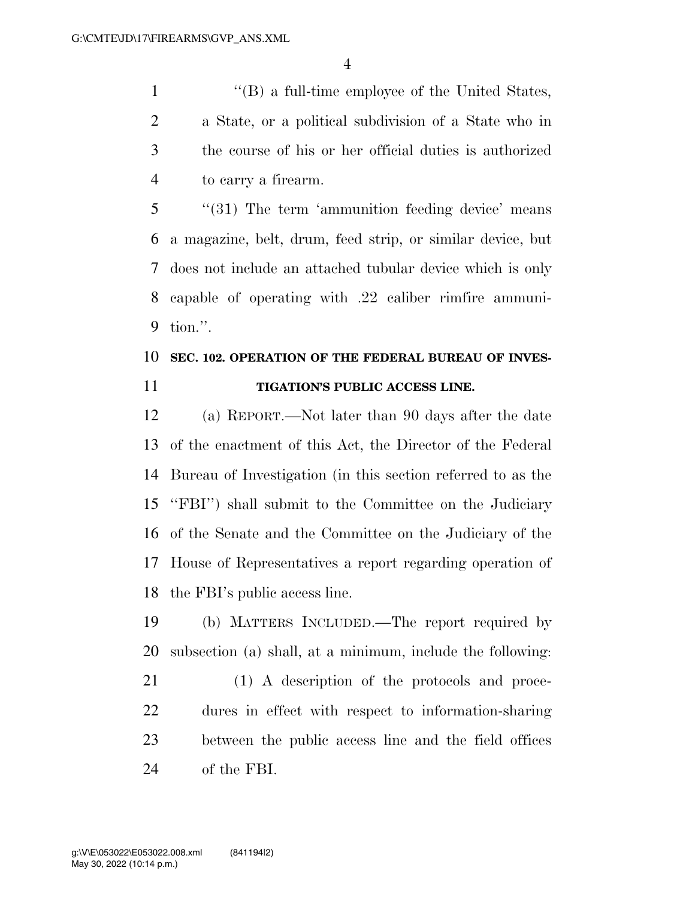''(B) a full-time employee of the United States, a State, or a political subdivision of a State who in the course of his or her official duties is authorized to carry a firearm.

 ''(31) The term 'ammunition feeding device' means a magazine, belt, drum, feed strip, or similar device, but does not include an attached tubular device which is only capable of operating with .22 caliber rimfire ammuni-tion.''.

## **SEC. 102. OPERATION OF THE FEDERAL BUREAU OF INVES-TIGATION'S PUBLIC ACCESS LINE.**

 (a) REPORT.—Not later than 90 days after the date of the enactment of this Act, the Director of the Federal Bureau of Investigation (in this section referred to as the ''FBI'') shall submit to the Committee on the Judiciary of the Senate and the Committee on the Judiciary of the House of Representatives a report regarding operation of the FBI's public access line.

 (b) MATTERS INCLUDED.—The report required by subsection (a) shall, at a minimum, include the following:

 (1) A description of the protocols and proce- dures in effect with respect to information-sharing between the public access line and the field offices of the FBI.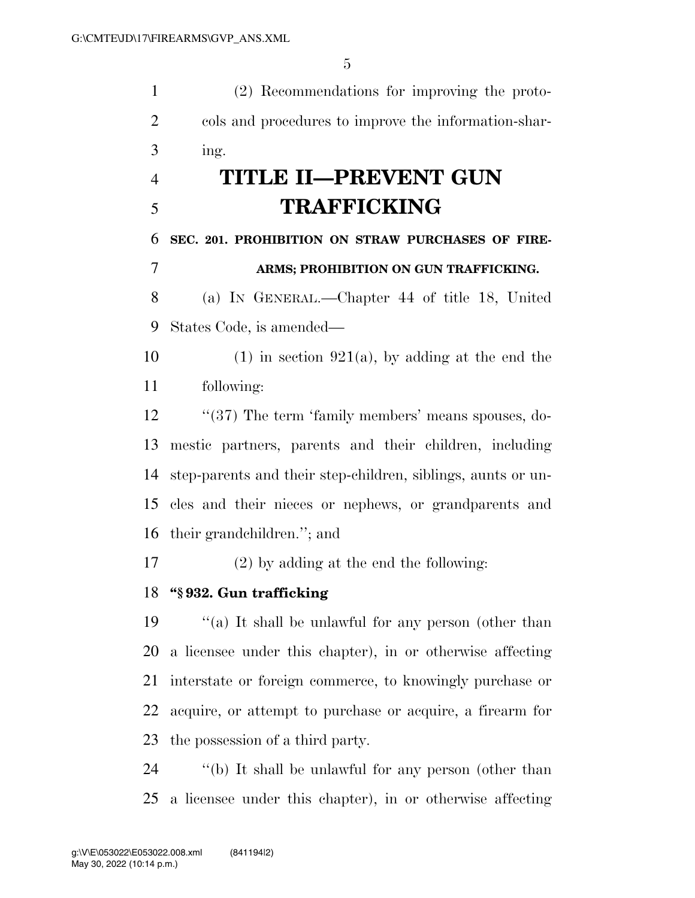(2) Recommendations for improving the proto- cols and procedures to improve the information-shar-ing.

# **TITLE II—PREVENT GUN TRAFFICKING**

 **SEC. 201. PROHIBITION ON STRAW PURCHASES OF FIRE-ARMS; PROHIBITION ON GUN TRAFFICKING.** 

 (a) IN GENERAL.—Chapter 44 of title 18, United States Code, is amended—

10 (1) in section 921(a), by adding at the end the following:

12 ''(37) The term 'family members' means spouses, do- mestic partners, parents and their children, including step-parents and their step-children, siblings, aunts or un- cles and their nieces or nephews, or grandparents and their grandchildren.''; and

(2) by adding at the end the following:

## **''§ 932. Gun trafficking**

 ''(a) It shall be unlawful for any person (other than a licensee under this chapter), in or otherwise affecting interstate or foreign commerce, to knowingly purchase or acquire, or attempt to purchase or acquire, a firearm for the possession of a third party.

 ''(b) It shall be unlawful for any person (other than a licensee under this chapter), in or otherwise affecting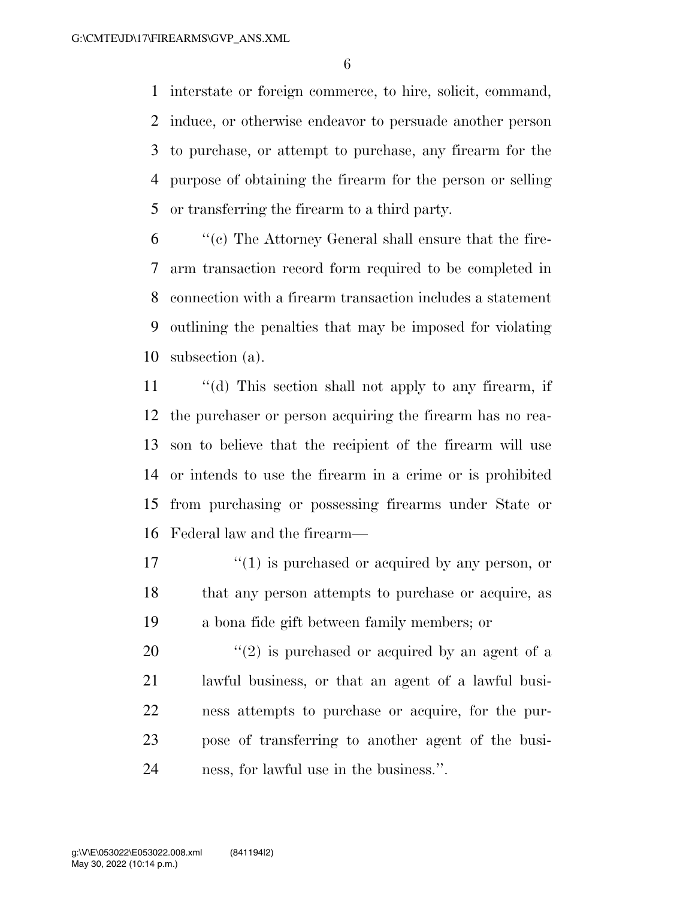interstate or foreign commerce, to hire, solicit, command, induce, or otherwise endeavor to persuade another person to purchase, or attempt to purchase, any firearm for the purpose of obtaining the firearm for the person or selling or transferring the firearm to a third party.

 ''(c) The Attorney General shall ensure that the fire- arm transaction record form required to be completed in connection with a firearm transaction includes a statement outlining the penalties that may be imposed for violating subsection (a).

 ''(d) This section shall not apply to any firearm, if the purchaser or person acquiring the firearm has no rea- son to believe that the recipient of the firearm will use or intends to use the firearm in a crime or is prohibited from purchasing or possessing firearms under State or Federal law and the firearm—

 $\mathcal{L}^{(1)}$  is purchased or acquired by any person, or that any person attempts to purchase or acquire, as a bona fide gift between family members; or

 $\frac{1}{2}$  (2) is purchased or acquired by an agent of a lawful business, or that an agent of a lawful busi- ness attempts to purchase or acquire, for the pur- pose of transferring to another agent of the busi-ness, for lawful use in the business.''.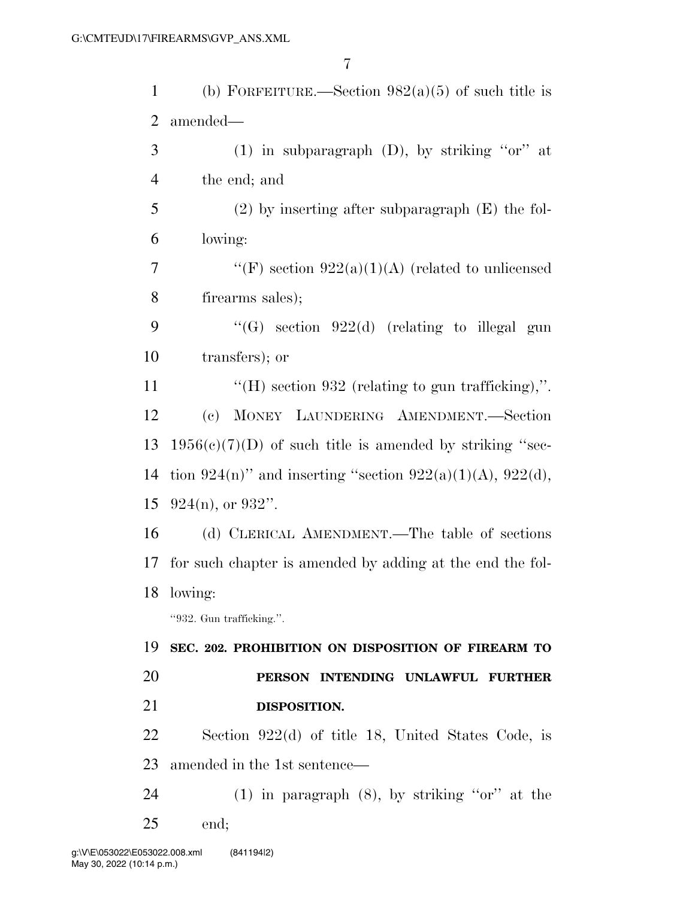| 1      | (b) FORFEITURE.—Section $982(a)(5)$ of such title is       |
|--------|------------------------------------------------------------|
| 2      | amended—                                                   |
| 3      | (1) in subparagraph $(D)$ , by striking "or" at            |
| 4      | the end; and                                               |
| 5      | $(2)$ by inserting after subparagraph $(E)$ the fol-       |
| 6      | lowing:                                                    |
| $\tau$ | "(F) section $922(a)(1)(A)$ (related to unlicensed         |
| 8      | firearms sales);                                           |
| 9      | "(G) section $922(d)$ (relating to illegal gun             |
| 10     | transfers); or                                             |
| 11     | "(H) section $932$ (relating to gun trafficking),".        |
| 12     | (c) MONEY LAUNDERING AMENDMENT.—Section                    |
| 13     | $1956(c)(7)(D)$ of such title is amended by striking "sec- |
| 14     | tion 924(n)" and inserting "section 922(a)(1)(A), 922(d),  |
| 15     | $924(n)$ , or $932"$ .                                     |
| 16     | (d) CLERICAL AMENDMENT.—The table of sections              |
| 17     | for such chapter is amended by adding at the end the fol-  |
|        | 18 lowing:                                                 |
|        | "932. Gun trafficking.".                                   |
| 19     | SEC. 202. PROHIBITION ON DISPOSITION OF FIREARM TO         |
| 20     | PERSON INTENDING UNLAWFUL<br><b>FURTHER</b>                |
| 21     | DISPOSITION.                                               |
| 22     | Section $922(d)$ of title 18, United States Code, is       |
| 23     | amended in the 1st sentence—                               |
| 24     | $(1)$ in paragraph $(8)$ , by striking "or" at the         |
| 25     | end;                                                       |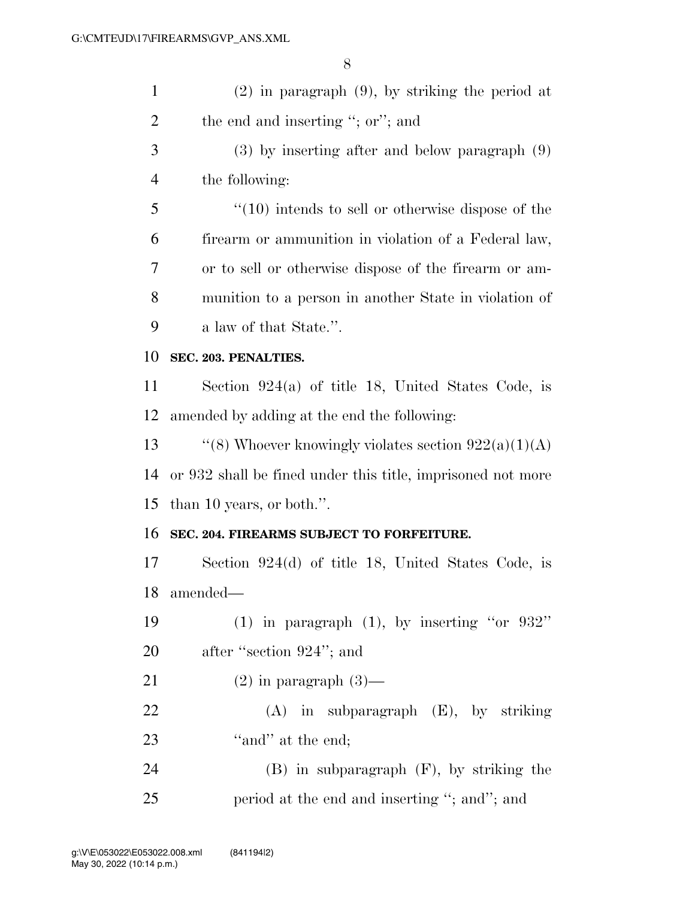| $\mathbf{1}$   | $(2)$ in paragraph $(9)$ , by striking the period at        |
|----------------|-------------------------------------------------------------|
| $\overline{2}$ | the end and inserting "; or"; and                           |
| 3              | $(3)$ by inserting after and below paragraph $(9)$          |
| $\overline{4}$ | the following:                                              |
| 5              | $\cdot$ (10) intends to sell or otherwise dispose of the    |
| 6              | firearm or ammunition in violation of a Federal law,        |
| 7              | or to sell or otherwise dispose of the firearm or am-       |
| 8              | munition to a person in another State in violation of       |
| 9              | a law of that State.".                                      |
| 10             | SEC. 203. PENALTIES.                                        |
| 11             | Section $924(a)$ of title 18, United States Code, is        |
| 12             | amended by adding at the end the following:                 |
| 13             | "(8) Whoever knowingly violates section $922(a)(1)(A)$      |
| 14             | or 932 shall be fined under this title, imprisoned not more |
| 15             | than 10 years, or both.".                                   |
| 16             | SEC. 204. FIREARMS SUBJECT TO FORFEITURE.                   |
| 17             | Section $924(d)$ of title 18, United States Code, is        |
| 18             | amended—                                                    |
| 19             | (1) in paragraph $(1)$ , by inserting "or 932"              |
| 20             | after "section 924"; and                                    |
| 21             | $(2)$ in paragraph $(3)$ —                                  |
| 22             | $(A)$ in subparagraph $(E)$ , by striking                   |
| 23             | "and" at the end;                                           |
| 24             | $(B)$ in subparagraph $(F)$ , by striking the               |
| 25             | period at the end and inserting "; and"; and                |
|                |                                                             |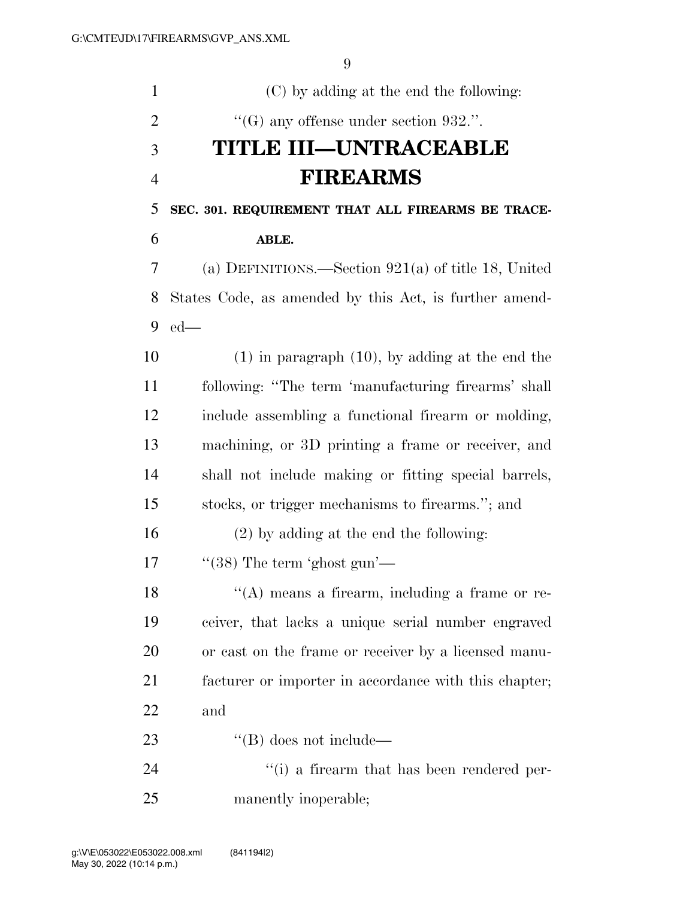| $\mathbf{1}$   | (C) by adding at the end the following:                |
|----------------|--------------------------------------------------------|
| $\overline{2}$ | $\lq\lq(G)$ any offense under section 932.".           |
| 3              | <b>TITLE III—UNTRACEABLE</b>                           |
| $\overline{4}$ | <b>FIREARMS</b>                                        |
| 5              | SEC. 301. REQUIREMENT THAT ALL FIREARMS BE TRACE-      |
| 6              | ABLE.                                                  |
| 7              | (a) DEFINITIONS.—Section $921(a)$ of title 18, United  |
| 8              | States Code, as amended by this Act, is further amend- |
| 9              | $ed$ —                                                 |
| 10             | $(1)$ in paragraph $(10)$ , by adding at the end the   |
| 11             | following: "The term 'manufacturing firearms' shall    |
| 12             | include assembling a functional firearm or molding,    |
| 13             | machining, or 3D printing a frame or receiver, and     |
| 14             | shall not include making or fitting special barrels,   |
| 15             | stocks, or trigger mechanisms to firearms."; and       |
| 16             | $(2)$ by adding at the end the following:              |
| 17             | $\lq(38)$ The term 'ghost gun'—                        |
| 18             | $\lq\lq$ means a firearm, including a frame or re-     |
| 19             | ceiver, that lacks a unique serial number engraved     |
| 20             | or cast on the frame or receiver by a licensed manu-   |
| 21             | facturer or importer in accordance with this chapter;  |
| 22             | and                                                    |
| 23             | $\lq\lq (B)$ does not include—                         |
| 24             | $f'(i)$ a firearm that has been rendered per-          |
| 25             | manently inoperable;                                   |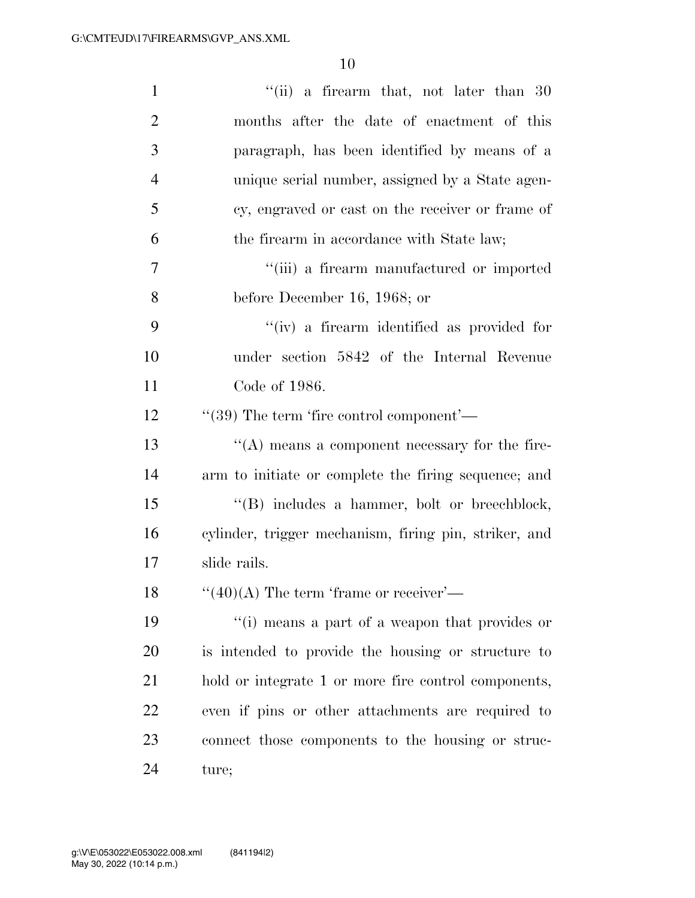| $\mathbf{1}$   | "(ii) a firearm that, not later than $30$             |
|----------------|-------------------------------------------------------|
| $\overline{2}$ | months after the date of enactment of this            |
| 3              | paragraph, has been identified by means of a          |
| $\overline{4}$ | unique serial number, assigned by a State agen-       |
| 5              | cy, engraved or cast on the receiver or frame of      |
| 6              | the firearm in accordance with State law;             |
| 7              | "(iii) a firearm manufactured or imported             |
| 8              | before December 16, 1968; or                          |
| 9              | "(iv) a firearm identified as provided for            |
| 10             | under section 5842 of the Internal Revenue            |
| 11             | Code of 1986.                                         |
| 12             | $\cdot\cdot(39)$ The term 'fire control component'—   |
| 13             | $\lq\lq$ means a component necessary for the fire-    |
| 14             | arm to initiate or complete the firing sequence; and  |
| 15             | "(B) includes a hammer, bolt or breechblock,          |
| 16             | cylinder, trigger mechanism, firing pin, striker, and |
| 17             | slide rails.                                          |
| 18             | $``(40)(A)$ The term 'frame or receiver'—             |
| 19             | "(i) means a part of a weapon that provides or        |
| 20             | is intended to provide the housing or structure to    |
| 21             | hold or integrate 1 or more fire control components,  |
| 22             | even if pins or other attachments are required to     |
| 23             | connect those components to the housing or struc-     |
| 24             | ture;                                                 |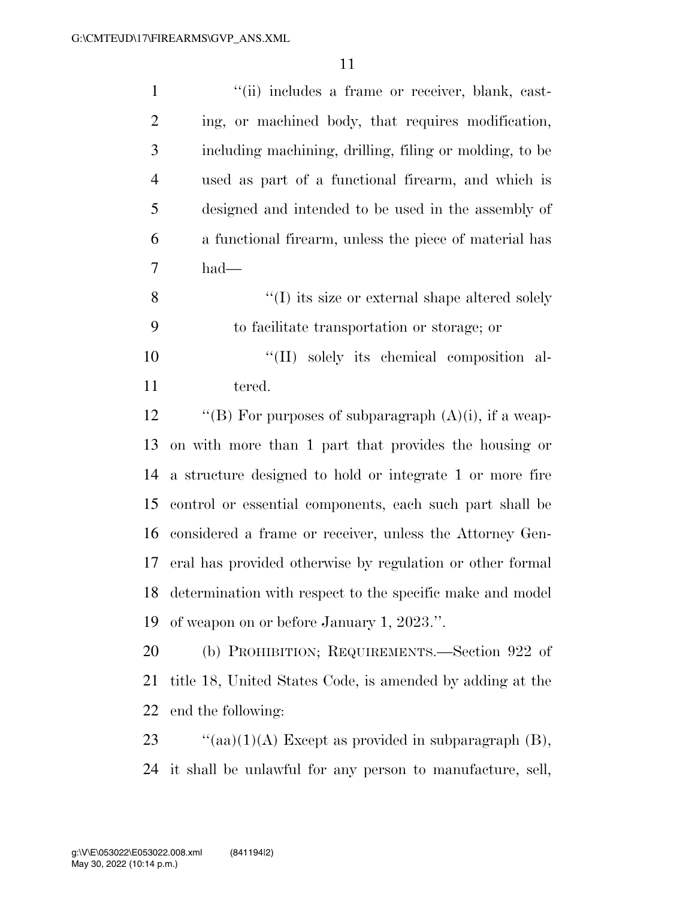| $\mathbf{1}$     | "(ii) includes a frame or receiver, blank, cast-          |
|------------------|-----------------------------------------------------------|
| $\overline{2}$   | ing, or machined body, that requires modification,        |
| 3                | including machining, drilling, filing or molding, to be   |
| $\overline{4}$   | used as part of a functional firearm, and which is        |
| 5                | designed and intended to be used in the assembly of       |
| 6                | a functional firearm, unless the piece of material has    |
| $\boldsymbol{7}$ | had—                                                      |
| 8                | $\lq\lq$ its size or external shape altered solely        |
| 9                | to facilitate transportation or storage; or               |
| 10               | "(II) solely its chemical composition al-                 |
| 11               | tered.                                                    |
| 12               | "(B) For purposes of subparagraph $(A)(i)$ , if a weap-   |
| 13               | on with more than 1 part that provides the housing or     |
| 14               | a structure designed to hold or integrate 1 or more fire  |
| 15               | control or essential components, each such part shall be  |
| 16               | considered a frame or receiver, unless the Attorney Gen-  |
| 17               | eral has provided otherwise by regulation or other formal |
| 18               | determination with respect to the specific make and model |
| 19               | of weapon on or before January 1, 2023.".                 |
| 20               | (b) PROHIBITION; REQUIREMENTS.—Section 922 of             |
| 21               | title 18, United States Code, is amended by adding at the |
| 22               | end the following:                                        |
| 23               | "(aa) $(1)(A)$ Except as provided in subparagraph $(B)$ , |

it shall be unlawful for any person to manufacture, sell,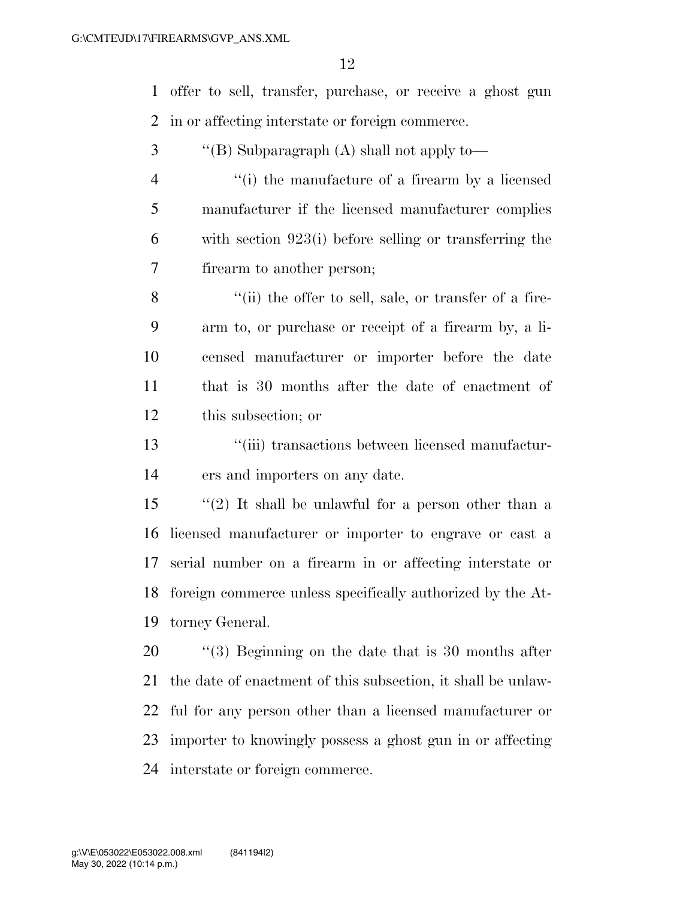offer to sell, transfer, purchase, or receive a ghost gun in or affecting interstate or foreign commerce.

- ''(B) Subparagraph (A) shall not apply to-
- ''(i) the manufacture of a firearm by a licensed manufacturer if the licensed manufacturer complies with section 923(i) before selling or transferring the firearm to another person;

8 ''(ii) the offer to sell, sale, or transfer of a fire- arm to, or purchase or receipt of a firearm by, a li- censed manufacturer or importer before the date that is 30 months after the date of enactment of this subsection; or

 ''(iii) transactions between licensed manufactur-ers and importers on any date.

 ''(2) It shall be unlawful for a person other than a licensed manufacturer or importer to engrave or cast a serial number on a firearm in or affecting interstate or foreign commerce unless specifically authorized by the At-torney General.

 $\frac{1}{20}$  (3) Beginning on the date that is 30 months after the date of enactment of this subsection, it shall be unlaw- ful for any person other than a licensed manufacturer or importer to knowingly possess a ghost gun in or affecting interstate or foreign commerce.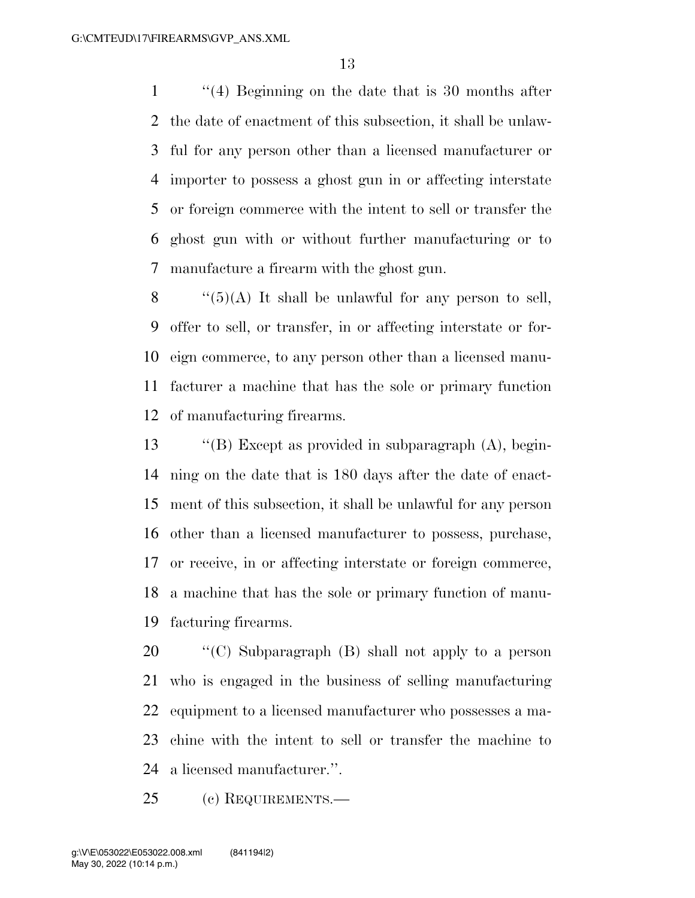''(4) Beginning on the date that is 30 months after the date of enactment of this subsection, it shall be unlaw- ful for any person other than a licensed manufacturer or importer to possess a ghost gun in or affecting interstate or foreign commerce with the intent to sell or transfer the ghost gun with or without further manufacturing or to manufacture a firearm with the ghost gun.

 $\langle (5)(A)$  It shall be unlawful for any person to sell, offer to sell, or transfer, in or affecting interstate or for- eign commerce, to any person other than a licensed manu- facturer a machine that has the sole or primary function of manufacturing firearms.

 ''(B) Except as provided in subparagraph (A), begin- ning on the date that is 180 days after the date of enact- ment of this subsection, it shall be unlawful for any person other than a licensed manufacturer to possess, purchase, or receive, in or affecting interstate or foreign commerce, a machine that has the sole or primary function of manu-facturing firearms.

 ''(C) Subparagraph (B) shall not apply to a person who is engaged in the business of selling manufacturing equipment to a licensed manufacturer who possesses a ma- chine with the intent to sell or transfer the machine to a licensed manufacturer.''.

(c) REQUIREMENTS.—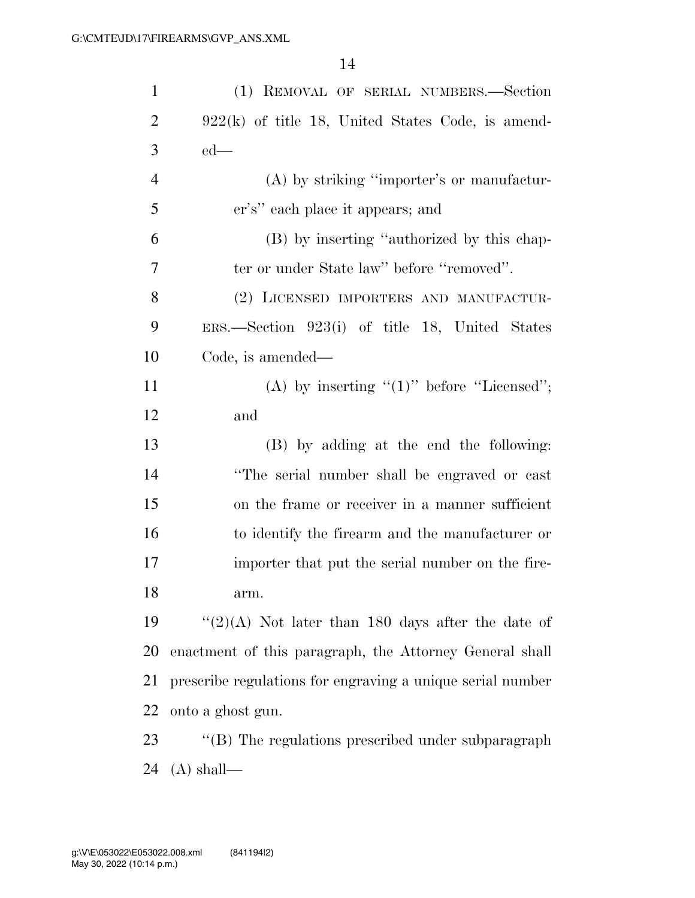| $\mathbf{1}$   | (1) REMOVAL OF SERIAL NUMBERS.-Section                     |
|----------------|------------------------------------------------------------|
| $\overline{2}$ | $922(k)$ of title 18, United States Code, is amend-        |
| 3              | $ed$ —                                                     |
| $\overline{4}$ | (A) by striking "importer's or manufactur-                 |
| 5              | er's" each place it appears; and                           |
| 6              | (B) by inserting "authorized by this chap-                 |
| 7              | ter or under State law" before "removed".                  |
| 8              | (2) LICENSED IMPORTERS AND MANUFACTUR-                     |
| 9              | ERS.—Section 923(i) of title 18, United States             |
| 10             | Code, is amended—                                          |
| 11             | (A) by inserting " $(1)$ " before "Licensed";              |
| 12             | and                                                        |
| 13             | (B) by adding at the end the following:                    |
| 14             | "The serial number shall be engraved or cast               |
| 15             | on the frame or receiver in a manner sufficient            |
| 16             | to identify the firearm and the manufacturer or            |
| 17             | importer that put the serial number on the fire-           |
| 18             | arm.                                                       |
| 19             | " $(2)(A)$ Not later than 180 days after the date of       |
| 20             | enactment of this paragraph, the Attorney General shall    |
| 21             | prescribe regulations for engraving a unique serial number |
| 22             | onto a ghost gun.                                          |
| 23             | "(B) The regulations prescribed under subparagraph         |
| 24             | $(A)$ shall—                                               |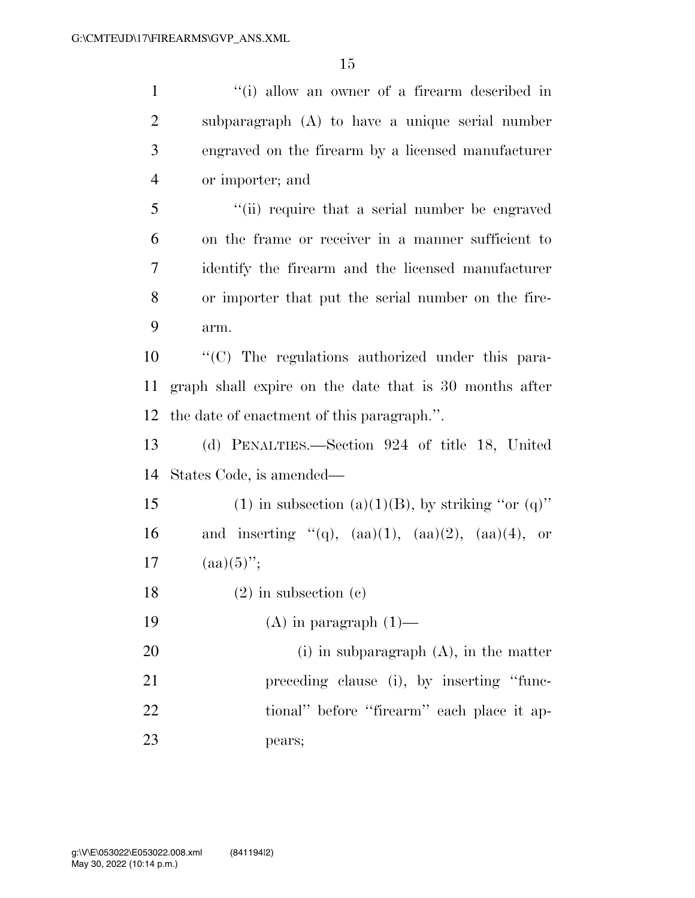1 ''(i) allow an owner of a firearm described in subparagraph (A) to have a unique serial number engraved on the firearm by a licensed manufacturer or importer; and ''(ii) require that a serial number be engraved on the frame or receiver in a manner sufficient to identify the firearm and the licensed manufacturer or importer that put the serial number on the fire- arm. ''(C) The regulations authorized under this para- graph shall expire on the date that is 30 months after the date of enactment of this paragraph.''. (d) PENALTIES.—Section 924 of title 18, United States Code, is amended— 15 (1) in subsection (a)(1)(B), by striking "or (q)" 16 and inserting "(q),  $(aa)(1)$ ,  $(aa)(2)$ ,  $(aa)(4)$ , or

17  $(aa)(5)$ ";

(2) in subsection (c)

19  $(A)$  in paragraph  $(1)$ —

20 (i) in subparagraph (A), in the matter preceding clause (i), by inserting ''func-22 tional'' before "firearm" each place it ap-pears;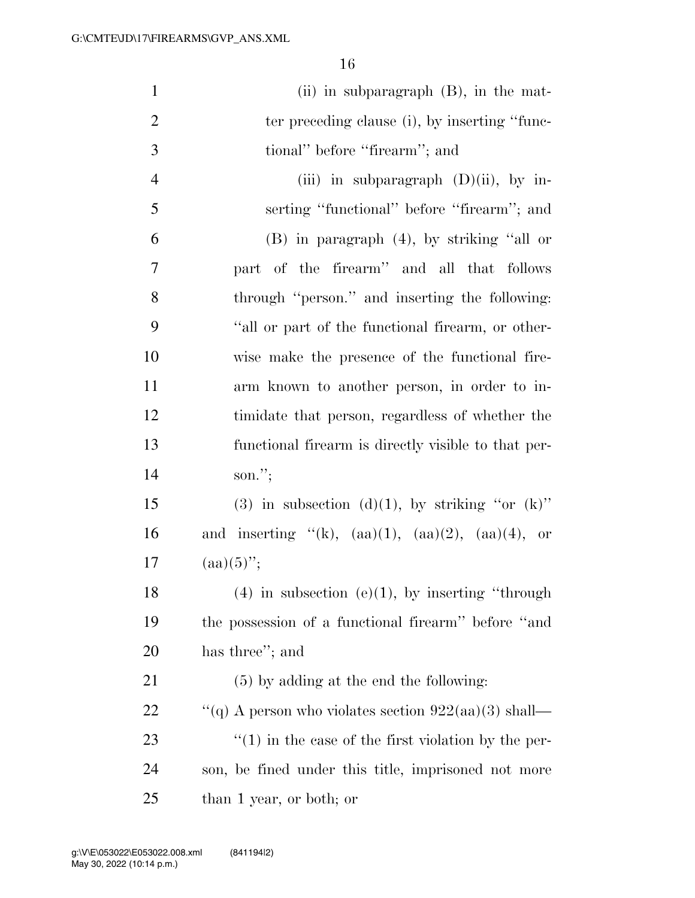| $\mathbf{1}$   | (ii) in subparagraph $(B)$ , in the mat-                   |
|----------------|------------------------------------------------------------|
| $\overline{2}$ | ter preceding clause (i), by inserting "func-              |
| 3              | tional" before "firearm"; and                              |
| $\overline{4}$ | (iii) in subparagraph $(D)(ii)$ , by in-                   |
| 5              | serting "functional" before "firearm"; and                 |
| 6              | $(B)$ in paragraph $(4)$ , by striking "all or             |
| 7              | part of the firearm" and all that follows                  |
| 8              | through "person." and inserting the following:             |
| 9              | "all or part of the functional firearm, or other-          |
| 10             | wise make the presence of the functional fire-             |
| 11             | arm known to another person, in order to in-               |
| 12             | timidate that person, regardless of whether the            |
| 13             | functional firearm is directly visible to that per-        |
| 14             | son.";                                                     |
| 15             | (3) in subsection (d)(1), by striking "or $(k)$ "          |
| 16             | and inserting "(k), $(aa)(1)$ , $(aa)(2)$ , $(aa)(4)$ , or |
| 17             | $(aa)(5)$ ";                                               |
| 18             | $(4)$ in subsection $(e)(1)$ , by inserting "through       |
| 19             | the possession of a functional firearm" before "and        |
| 20             | has three"; and                                            |
| 21             | $(5)$ by adding at the end the following:                  |
| <u>22</u>      | "(q) A person who violates section $922(aa)(3)$ shall—     |
| 23             | $\cdot$ (1) in the case of the first violation by the per- |
| 24             | son, be fined under this title, imprisoned not more        |
| 25             | than 1 year, or both; or                                   |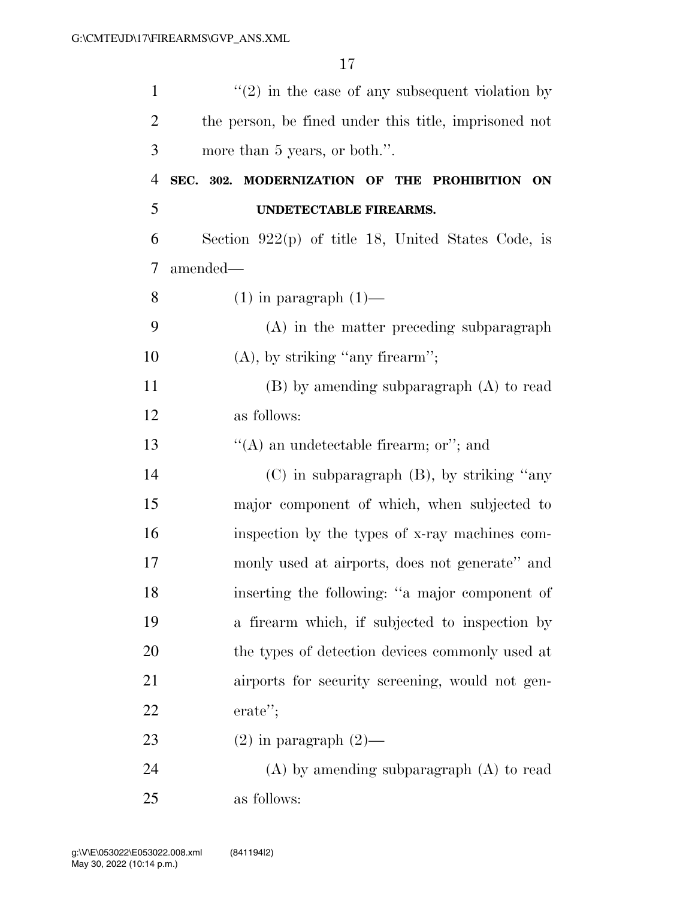| $\mathbf{1}$   | $\lq(2)$ in the case of any subsequent violation by   |
|----------------|-------------------------------------------------------|
| $\overline{2}$ | the person, be fined under this title, imprisoned not |
| 3              | more than 5 years, or both.".                         |
| $\overline{4}$ | SEC. 302. MODERNIZATION OF THE PROHIBITION ON         |
| 5              | UNDETECTABLE FIREARMS.                                |
| 6              | Section $922(p)$ of title 18, United States Code, is  |
| 7              | amended—                                              |
| 8              | $(1)$ in paragraph $(1)$ —                            |
| 9              | $(A)$ in the matter preceding subparagraph            |
| 10             | $(A)$ , by striking "any firearm";                    |
| 11             | $(B)$ by amending subparagraph $(A)$ to read          |
| 12             | as follows:                                           |
| 13             | "(A) an undetectable firearm; or"; and                |
| 14             | $(C)$ in subparagraph $(B)$ , by striking "any        |
| 15             | major component of which, when subjected to           |
| 16             | inspection by the types of x-ray machines com-        |
| 17             | monly used at airports, does not generate" and        |
| 18             | inserting the following: "a major component of        |
| 19             | a firearm which, if subjected to inspection by        |
| 20             | the types of detection devices commonly used at       |
| 21             | airports for security screening, would not gen-       |
| 22             | erate";                                               |
| 23             | $(2)$ in paragraph $(2)$ —                            |
| 24             | $(A)$ by amending subparagraph $(A)$ to read          |
| 25             | as follows:                                           |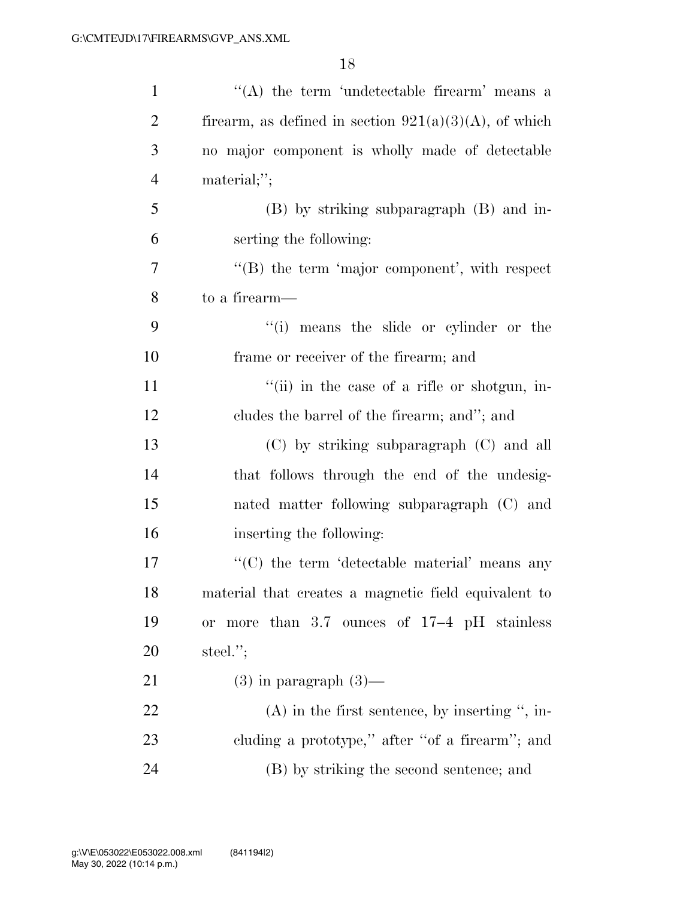| $\mathbf{1}$   | $\lq\lq$ the term 'undetectable firearm' means a         |
|----------------|----------------------------------------------------------|
| $\overline{2}$ | firearm, as defined in section $921(a)(3)(A)$ , of which |
| 3              | no major component is wholly made of detectable          |
| $\overline{4}$ | $\text{material};$                                       |
| 5              | (B) by striking subparagraph (B) and in-                 |
| 6              | serting the following:                                   |
| 7              | $\lq\lq$ the term 'major component', with respect        |
| 8              | to a firearm—                                            |
| 9              | "(i) means the slide or cylinder or the                  |
| 10             | frame or receiver of the firearm; and                    |
| 11             | "(ii) in the case of a rifle or shotgun, in-             |
| 12             | cludes the barrel of the firearm; and"; and              |
| 13             | (C) by striking subparagraph (C) and all                 |
| 14             | that follows through the end of the undesig-             |
| 15             | nated matter following subparagraph (C) and              |
| 16             | inserting the following:                                 |
| 17             | "(C) the term 'detectable material' means any            |
| 18             | material that creates a magnetic field equivalent to     |
| 19             | or more than 3.7 ounces of 17-4 pH stainless             |
| 20             | steel. $";$                                              |
| 21             | $(3)$ in paragraph $(3)$ —                               |
| 22             | $(A)$ in the first sentence, by inserting ", in-         |
| 23             | cluding a prototype," after "of a firearm"; and          |
| 24             | (B) by striking the second sentence; and                 |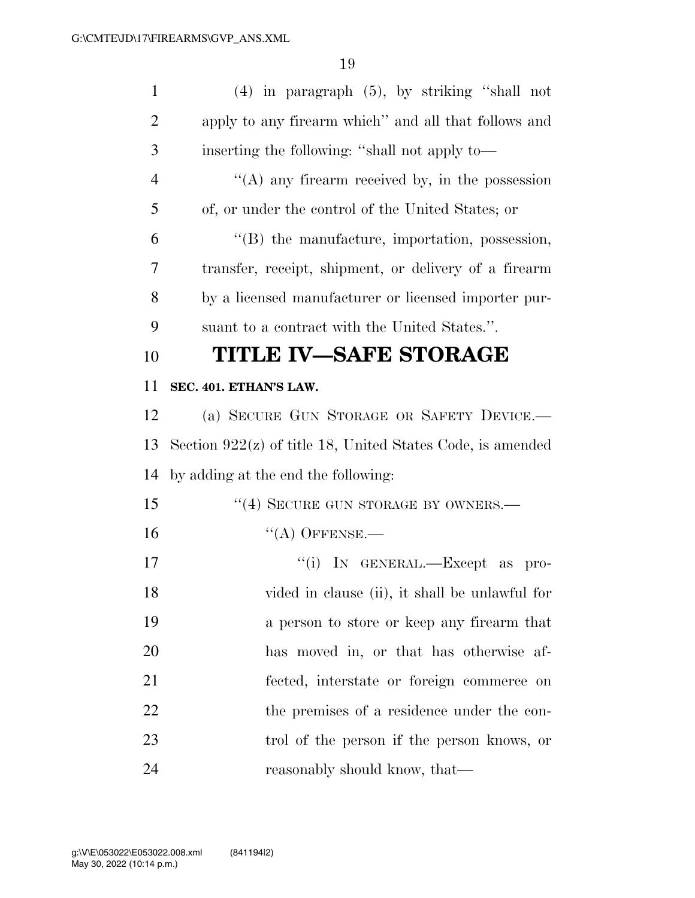| $\mathbf{1}$   | $(4)$ in paragraph $(5)$ , by striking "shall not            |
|----------------|--------------------------------------------------------------|
| $\overline{2}$ | apply to any firearm which" and all that follows and         |
| 3              | inserting the following: "shall not apply to—                |
| 4              | $\lq\lq$ (A) any firearm received by, in the possession      |
| 5              | of, or under the control of the United States; or            |
| 6              | $\lq\lq$ the manufacture, importation, possession,           |
| 7              | transfer, receipt, shipment, or delivery of a firearm        |
| 8              | by a licensed manufacturer or licensed importer pur-         |
| 9              | suant to a contract with the United States.".                |
| 10             | TITLE IV–SAFE STORAGE                                        |
| 11             | SEC. 401. ETHAN'S LAW.                                       |
| 12             | (a) SECURE GUN STORAGE OR SAFETY DEVICE.                     |
| 13             | Section $922(z)$ of title 18, United States Code, is amended |
| 14             | by adding at the end the following:                          |
| 15             | "(4) SECURE GUN STORAGE BY OWNERS.-                          |
| 16             | $\lq\lq$ OFFENSE.—                                           |
| 17             | "(i) IN GENERAL.—Except<br>as<br>pro-                        |
| 18             | vided in clause (ii), it shall be unlawful for               |
| 19             |                                                              |
|                | a person to store or keep any firearm that                   |
| 20             | has moved in, or that has otherwise af-                      |
| 21             | fected, interstate or foreign commerce on                    |
| 22             | the premises of a residence under the con-                   |
| 23             | trol of the person if the person knows, or                   |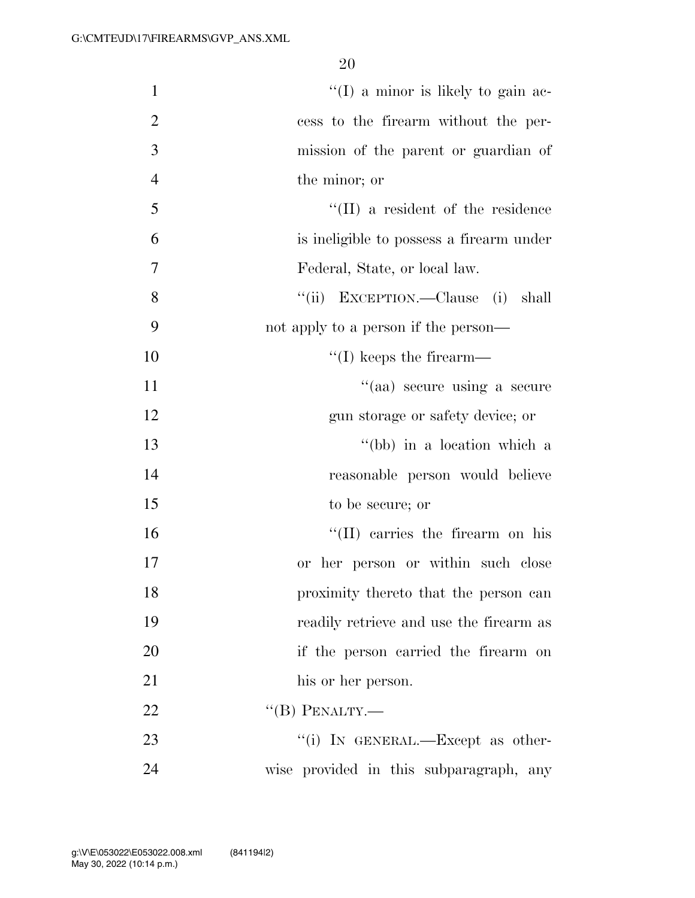| $\mathbf{1}$   | $\lq(1)$ a minor is likely to gain ac-    |
|----------------|-------------------------------------------|
| $\overline{2}$ | cess to the firearm without the per-      |
| 3              | mission of the parent or guardian of      |
| $\overline{4}$ | the minor; or                             |
| 5              | $\lq\lq$ (II) a resident of the residence |
| 6              | is ineligible to possess a firearm under  |
| 7              | Federal, State, or local law.             |
| 8              | "(ii) EXCEPTION.—Clause (i) shall         |
| 9              | not apply to a person if the person—      |
| 10             | $\lq\lq$ (I) keeps the firearm—           |
| 11             | "(aa) secure using a secure               |
| 12             | gun storage or safety device; or          |
| 13             | "(bb) in a location which a               |
| 14             | reasonable person would believe           |
| 15             | to be secure; or                          |
| 16             | "(II) carries the firearm on his          |
| 17             | or her person or within such close        |
| 18             | proximity thereto that the person can     |
| 19             | readily retrieve and use the firearm as   |
| 20             | if the person carried the firearm on      |
| 21             | his or her person.                        |
| 22             | $\lq\lq (B)$ PENALTY.—                    |
| 23             | "(i) IN GENERAL.—Except as other-         |
| 24             | wise provided in this subparagraph, any   |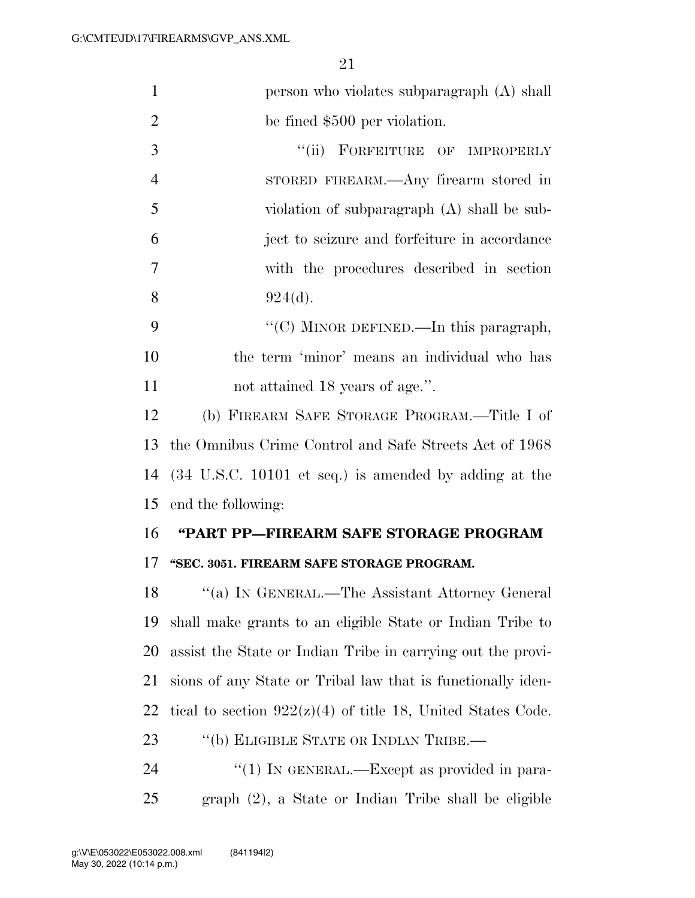| $\mathbf{1}$   | person who violates subparagraph (A) shall                               |
|----------------|--------------------------------------------------------------------------|
| 2              | be fined \$500 per violation.                                            |
| 3              | ``(ii)<br>FORFEITURE OF IMPROPERLY                                       |
| $\overline{4}$ | STORED FIREARM.—Any firearm stored in                                    |
| 5              | violation of subparagraph (A) shall be sub-                              |
| 6              | ject to seizure and forfeiture in accordance                             |
| 7              | with the procedures described in section                                 |
| 8              | 924(d).                                                                  |
| 9              | "(C) MINOR DEFINED.—In this paragraph,                                   |
| 10             | the term 'minor' means an individual who has                             |
| 11             | not attained 18 years of age.".                                          |
| 12             | (b) FIREARM SAFE STORAGE PROGRAM.—Title I of                             |
| 13             | the Omnibus Crime Control and Safe Streets Act of 1968                   |
| 14             | $(34 \text{ U.S.C. } 10101 \text{ et seq.})$ is amended by adding at the |
| 15             | end the following:                                                       |
| 16             | "PART PP-FIREARM SAFE STORAGE PROGRAM                                    |
| 17             | "SEC. 3051. FIREARM SAFE STORAGE PROGRAM.                                |
| 18             | "(a) IN GENERAL.—The Assistant Attorney General                          |
| 19             | shall make grants to an eligible State or Indian Tribe to                |
| 20             | assist the State or Indian Tribe in carrying out the provi-              |
| 21             | sions of any State or Tribal law that is functionally iden-              |
| 22             | tical to section $922(z)(4)$ of title 18, United States Code.            |
| 23             | "(b) ELIGIBLE STATE OR INDIAN TRIBE.—                                    |
|                |                                                                          |
| 24             | "(1) IN GENERAL.—Except as provided in para-                             |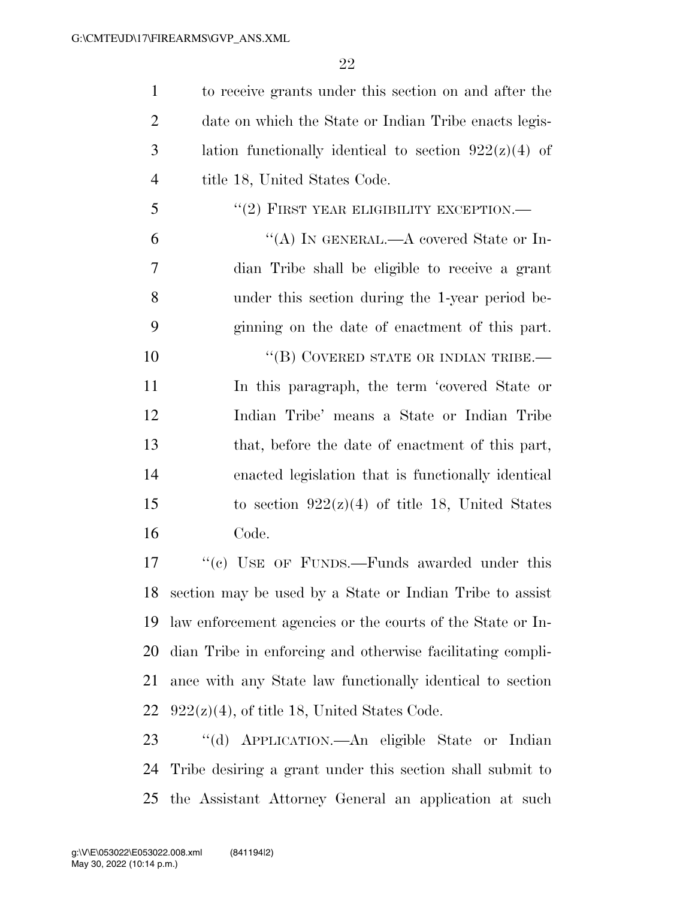to receive grants under this section on and after the 2 date on which the State or Indian Tribe enacts legis-3 lation functionally identical to section  $922(z)(4)$  of 4 title 18, United States Code.  $(2)$  FIRST YEAR ELIGIBILITY EXCEPTION.— "(A) In GENERAL.—A covered State or In-

 dian Tribe shall be eligible to receive a grant under this section during the 1-year period be-ginning on the date of enactment of this part.

10 "(B) COVERED STATE OR INDIAN TRIBE.— In this paragraph, the term 'covered State or Indian Tribe' means a State or Indian Tribe that, before the date of enactment of this part, enacted legislation that is functionally identical 15 to section  $922(z)(4)$  of title 18, United States Code.

17 ""(c) USE OF FUNDS.—Funds awarded under this section may be used by a State or Indian Tribe to assist law enforcement agencies or the courts of the State or In- dian Tribe in enforcing and otherwise facilitating compli- ance with any State law functionally identical to section  $922(z)(4)$ , of title 18, United States Code.

 ''(d) APPLICATION.—An eligible State or Indian Tribe desiring a grant under this section shall submit to the Assistant Attorney General an application at such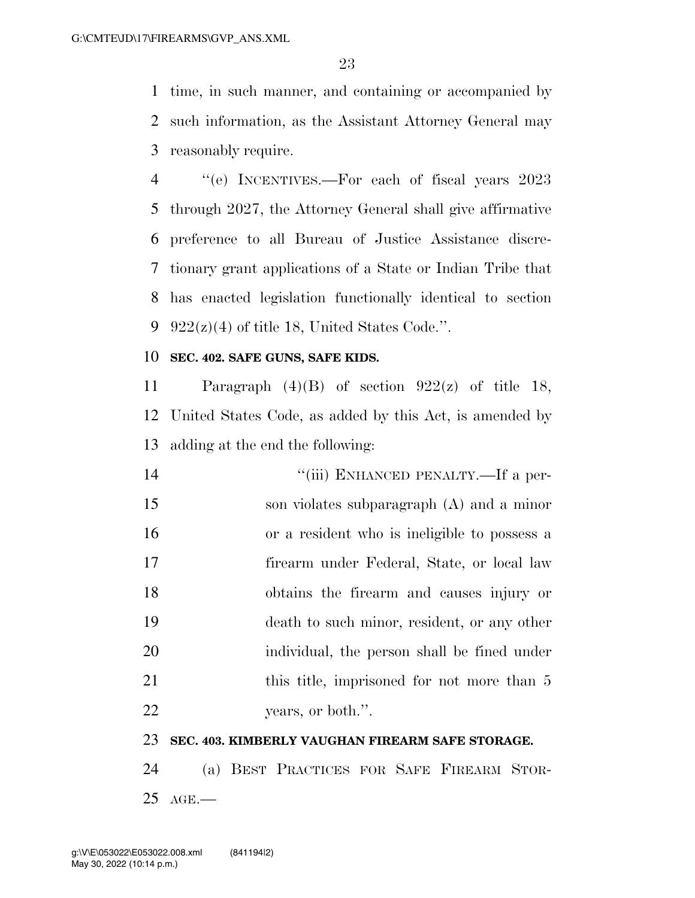time, in such manner, and containing or accompanied by such information, as the Assistant Attorney General may reasonably require.

 ''(e) INCENTIVES.—For each of fiscal years 2023 through 2027, the Attorney General shall give affirmative preference to all Bureau of Justice Assistance discre- tionary grant applications of a State or Indian Tribe that has enacted legislation functionally identical to section  $922(z)(4)$  of title 18, United States Code.".

### **SEC. 402. SAFE GUNS, SAFE KIDS.**

11 Paragraph  $(4)(B)$  of section  $922(z)$  of title 18, United States Code, as added by this Act, is amended by adding at the end the following:

| 14 | "(iii) ENHANCED PENALTY.—If a per-           |
|----|----------------------------------------------|
| 15 | son violates subparagraph (A) and a minor    |
| 16 | or a resident who is ineligible to possess a |
| 17 | firearm under Federal, State, or local law   |
| 18 | obtains the firearm and causes injury or     |
| 19 | death to such minor, resident, or any other  |
| 20 | individual, the person shall be fined under  |
| 21 | this title, imprisoned for not more than 5   |
| 22 | years, or both.".                            |

### **SEC. 403. KIMBERLY VAUGHAN FIREARM SAFE STORAGE.**

 (a) BEST PRACTICES FOR SAFE FIREARM STOR-AGE.—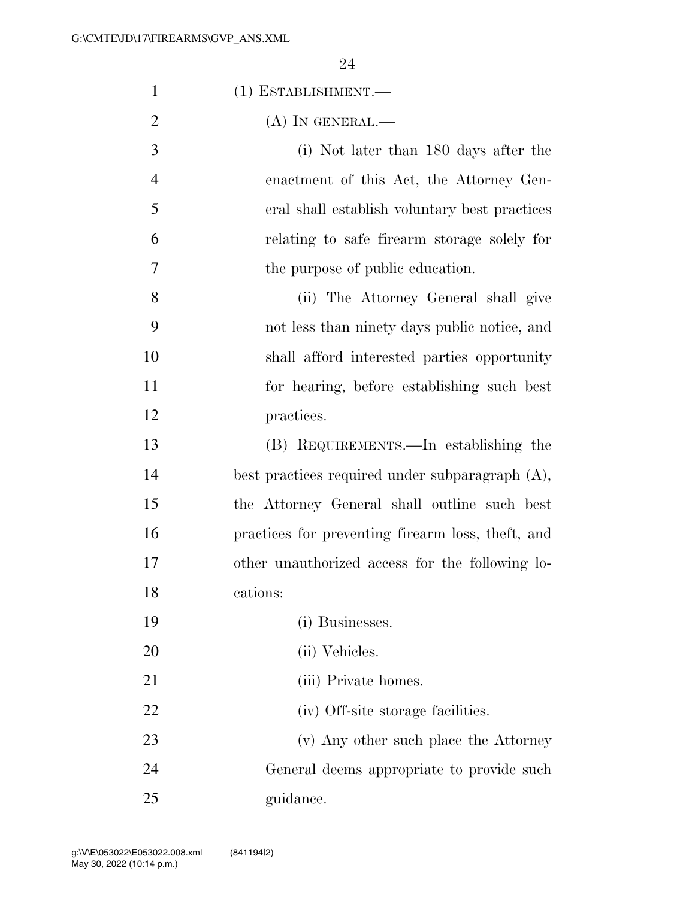| $\mathbf{1}$   | (1) ESTABLISHMENT.-                                |
|----------------|----------------------------------------------------|
| $\overline{2}$ | $(A)$ IN GENERAL.—                                 |
| 3              | (i) Not later than 180 days after the              |
| $\overline{4}$ | enactment of this Act, the Attorney Gen-           |
| 5              | eral shall establish voluntary best practices      |
| 6              | relating to safe firearm storage solely for        |
| 7              | the purpose of public education.                   |
| 8              | (ii) The Attorney General shall give               |
| 9              | not less than ninety days public notice, and       |
| 10             | shall afford interested parties opportunity        |
| 11             | for hearing, before establishing such best         |
| 12             | practices.                                         |
| 13             | (B) REQUIREMENTS.—In establishing the              |
| 14             | best practices required under subparagraph $(A)$ , |
| 15             | the Attorney General shall outline such best       |
| 16             | practices for preventing firearm loss, theft, and  |
| 17             | other unauthorized access for the following lo-    |
| 18             | cations:                                           |
| 19             | (i) Businesses.                                    |
| 20             | (ii) Vehicles.                                     |
| 21             | (iii) Private homes.                               |
| 22             | (iv) Off-site storage facilities.                  |
| 23             | (v) Any other such place the Attorney              |
| 24             | General deems appropriate to provide such          |
| 25             | guidance.                                          |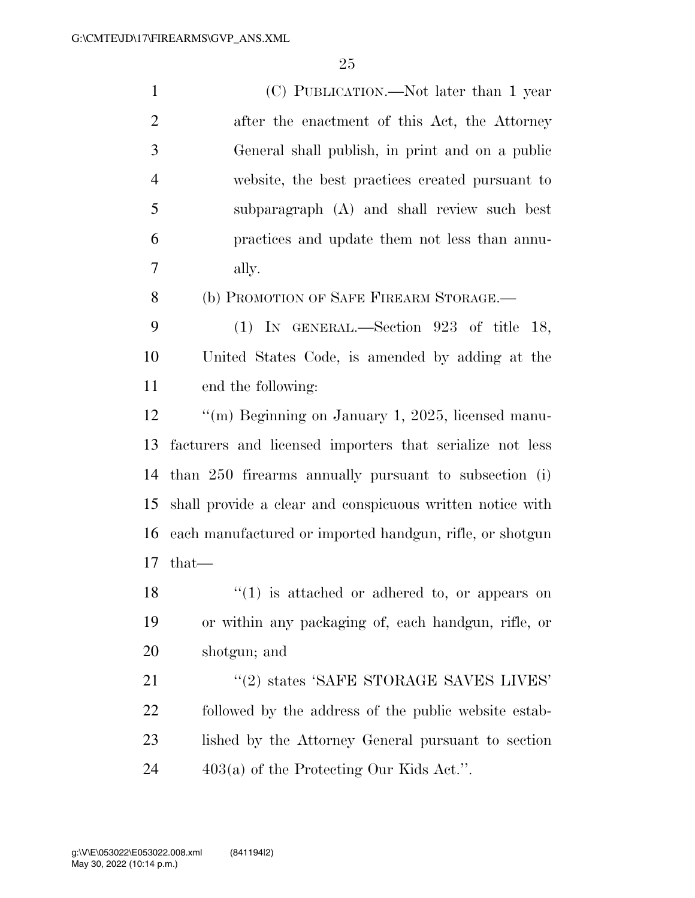| $\mathbf{1}$   | (C) PUBLICATION.—Not later than 1 year                    |
|----------------|-----------------------------------------------------------|
| $\overline{2}$ | after the enactment of this Act, the Attorney             |
| 3              | General shall publish, in print and on a public           |
| $\overline{4}$ | website, the best practices created pursuant to           |
| 5              | subparagraph (A) and shall review such best               |
| 6              | practices and update them not less than annu-             |
| 7              | ally.                                                     |
| 8              | (b) PROMOTION OF SAFE FIREARM STORAGE.—                   |
| 9              | (1) IN GENERAL.—Section $923$ of title 18,                |
| 10             | United States Code, is amended by adding at the           |
| 11             | end the following:                                        |
| 12             | "(m) Beginning on January 1, 2025, licensed manu-         |
| 13             | facturers and licensed importers that serialize not less  |
| 14             | than 250 firearms annually pursuant to subsection (i)     |
| 15             | shall provide a clear and conspicuous written notice with |
| 16             | each manufactured or imported handgun, rifle, or shotgun  |
| 17             | $that-$                                                   |
| 18             | $\lq(1)$ is attached or adhered to, or appears on         |
| 19             | or within any packaging of, each handgun, rifle, or       |
| 20             | shotgun; and                                              |
| 21             | "(2) states 'SAFE STORAGE SAVES LIVES'                    |
| 22             | followed by the address of the public website estab-      |
| 23             | lished by the Attorney General pursuant to section        |
|                |                                                           |

403(a) of the Protecting Our Kids Act.''.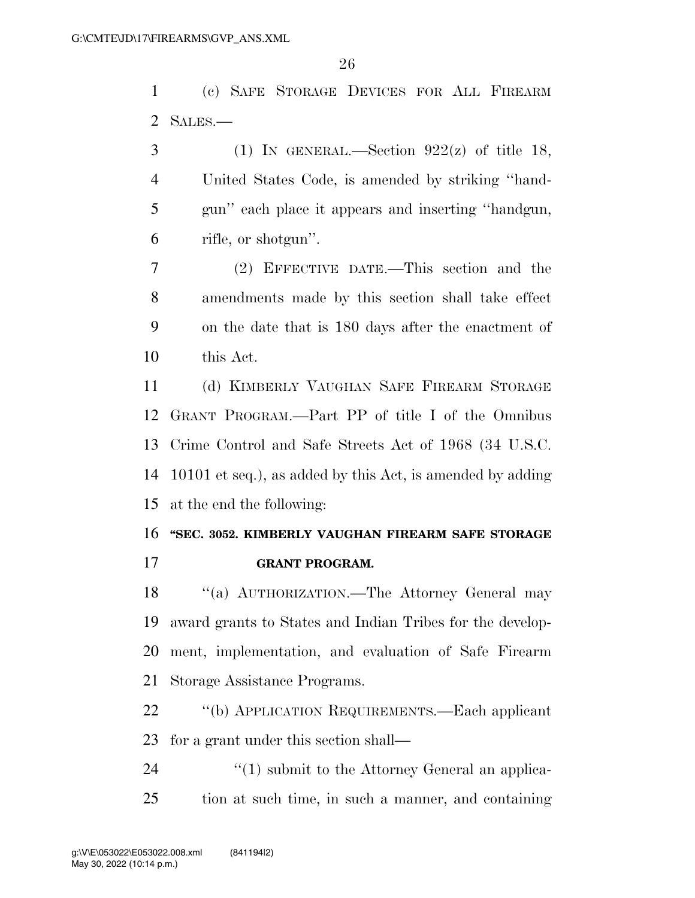(c) SAFE STORAGE DEVICES FOR ALL FIREARM SALES.—

3 (1) IN GENERAL.—Section  $922(z)$  of title 18, United States Code, is amended by striking ''hand- gun'' each place it appears and inserting ''handgun, rifle, or shotgun''.

 (2) EFFECTIVE DATE.—This section and the amendments made by this section shall take effect on the date that is 180 days after the enactment of this Act.

 (d) KIMBERLY VAUGHAN SAFE FIREARM STORAGE GRANT PROGRAM.—Part PP of title I of the Omnibus Crime Control and Safe Streets Act of 1968 (34 U.S.C. 10101 et seq.), as added by this Act, is amended by adding at the end the following:

# **''SEC. 3052. KIMBERLY VAUGHAN FIREARM SAFE STORAGE**

**GRANT PROGRAM.** 

18 "(a) AUTHORIZATION.—The Attorney General may award grants to States and Indian Tribes for the develop- ment, implementation, and evaluation of Safe Firearm Storage Assistance Programs.

 ''(b) APPLICATION REQUIREMENTS.—Each applicant for a grant under this section shall—

24 ''(1) submit to the Attorney General an applica-tion at such time, in such a manner, and containing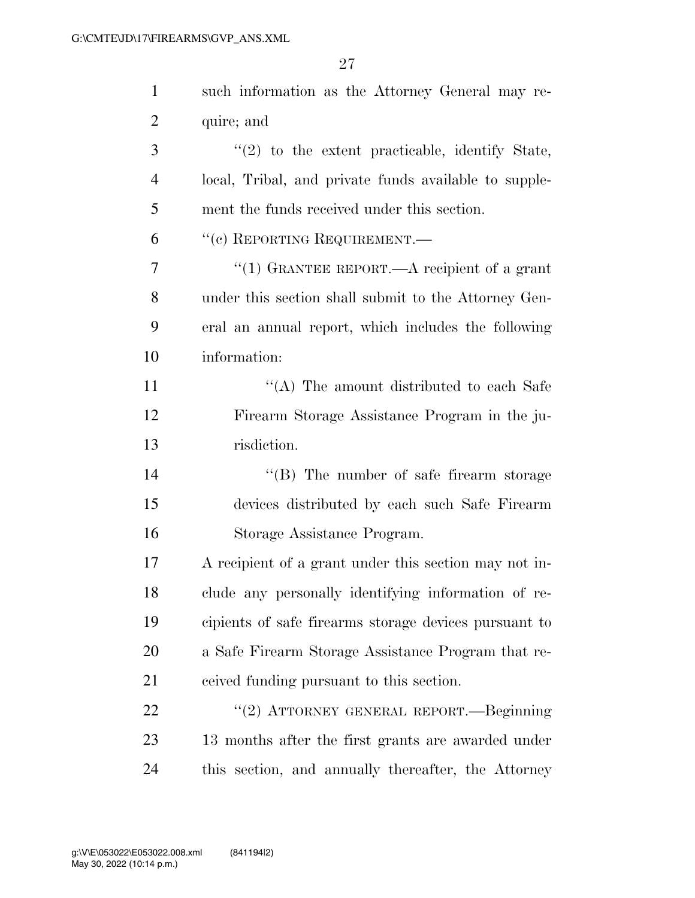| $\mathbf{1}$ | such information as the Attorney General may re-      |
|--------------|-------------------------------------------------------|
| 2            | quire; and                                            |
| 3            | $\lq(2)$ to the extent practicable, identify State,   |
| 4            | local, Tribal, and private funds available to supple- |
| 5            | ment the funds received under this section.           |
| 6            | "(c) REPORTING REQUIREMENT.—                          |
| 7            | "(1) GRANTEE REPORT.—A recipient of a grant           |
| 8            | under this section shall submit to the Attorney Gen-  |
| 9            | eral an annual report, which includes the following   |
| 10           | information:                                          |
| 11           | "(A) The amount distributed to each Safe              |
| 12           | Firearm Storage Assistance Program in the ju-         |
| 13           | risdiction.                                           |
| 14           | $\lq\lq (B)$ The number of safe firearm storage       |
| 15           | devices distributed by each such Safe Firearm         |
| 16           | Storage Assistance Program.                           |
| 17           | A recipient of a grant under this section may not in- |
| 18           | clude any personally identifying information of re-   |
| 19           | cipients of safe firearms storage devices pursuant to |
| 20           | a Safe Firearm Storage Assistance Program that re-    |
| 21           | ceived funding pursuant to this section.              |
| 22           | "(2) ATTORNEY GENERAL REPORT.—Beginning               |
| 23           | 13 months after the first grants are awarded under    |
| 24           | this section, and annually thereafter, the Attorney   |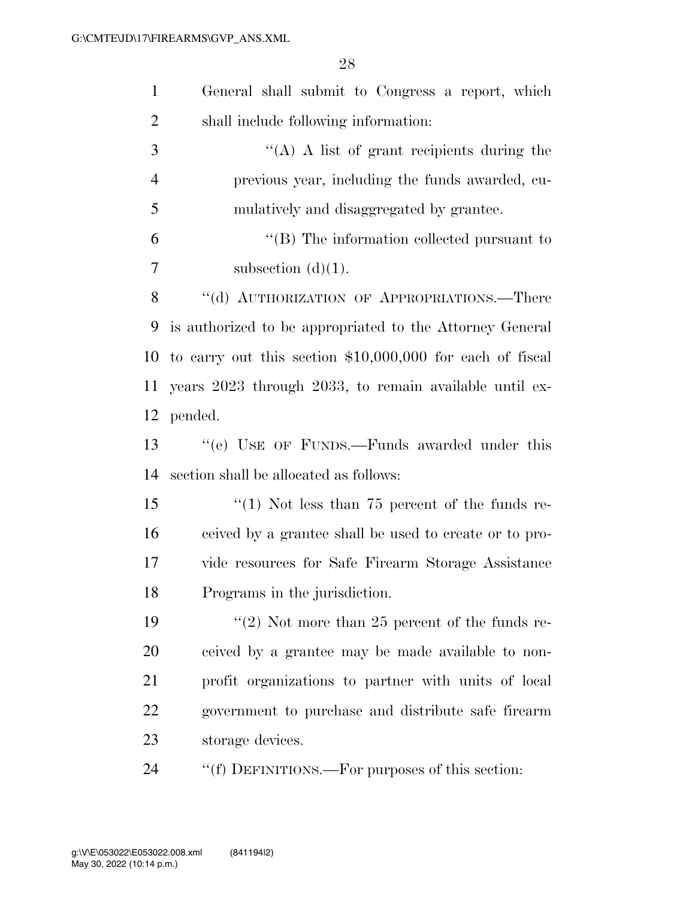| $\mathbf{1}$   | General shall submit to Congress a report, which           |
|----------------|------------------------------------------------------------|
| $\overline{2}$ | shall include following information:                       |
| 3              | $\lq\lq$ (A) A list of grant recipients during the         |
| $\overline{4}$ | previous year, including the funds awarded, cu-            |
| 5              | mulatively and disaggregated by grantee.                   |
| 6              | $\lq\lq$ (B) The information collected pursuant to         |
| 7              | subsection $(d)(1)$ .                                      |
| 8              | "(d) AUTHORIZATION OF APPROPRIATIONS.—There                |
| 9              | is authorized to be appropriated to the Attorney General   |
| 10             | to carry out this section $$10,000,000$ for each of fiscal |
| 11             | years 2023 through 2033, to remain available until ex-     |
| 12             | pended.                                                    |
| 13             | "(e) USE OF FUNDS.—Funds awarded under this                |
| 14             | section shall be allocated as follows:                     |
| 15             | "(1) Not less than $75$ percent of the funds re-           |
| 16             | ceived by a grantee shall be used to create or to pro-     |
| 17             | vide resources for Safe Firearm Storage Assistance         |
| 18             | Programs in the jurisdiction.                              |
| 19             | "(2) Not more than 25 percent of the funds re-             |
| 20             | ceived by a grantee may be made available to non-          |
| 21             | profit organizations to partner with units of local        |
| 22             | government to purchase and distribute safe firearm         |
| 23             | storage devices.                                           |
| 24             | "(f) DEFINITIONS.—For purposes of this section:            |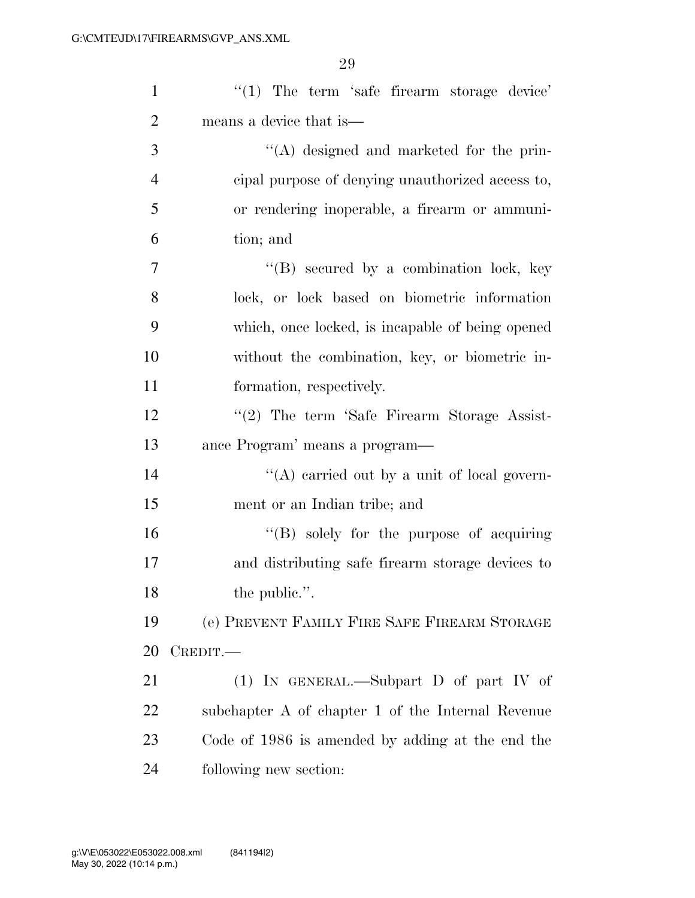| $\mathbf{1}$   | $\lq(1)$ The term 'safe firearm storage device'   |
|----------------|---------------------------------------------------|
| $\overline{2}$ | means a device that is—                           |
| 3              | $\lq\lq$ designed and marketed for the prin-      |
| $\overline{4}$ | cipal purpose of denying unauthorized access to,  |
| 5              | or rendering inoperable, a firearm or ammuni-     |
| 6              | tion; and                                         |
| 7              | "(B) secured by a combination lock, key           |
| 8              | lock, or lock based on biometric information      |
| 9              | which, once locked, is incapable of being opened  |
| 10             | without the combination, key, or biometric in-    |
| 11             | formation, respectively.                          |
| 12             | "(2) The term 'Safe Firearm Storage Assist-       |
| 13             | ance Program' means a program—                    |
| 14             | "(A) carried out by a unit of local govern-       |
| 15             | ment or an Indian tribe; and                      |
| 16             | $\lq\lq (B)$ solely for the purpose of acquiring  |
| 17             | and distributing safe firearm storage devices to  |
| 18             | the public.".                                     |
| 19             | (e) PREVENT FAMILY FIRE SAFE FIREARM STORAGE      |
| 20             | CREDIT.                                           |
| 21             | (1) IN GENERAL.—Subpart D of part IV of           |
| 22             | subchapter A of chapter 1 of the Internal Revenue |
| 23             | Code of 1986 is amended by adding at the end the  |
| 24             | following new section:                            |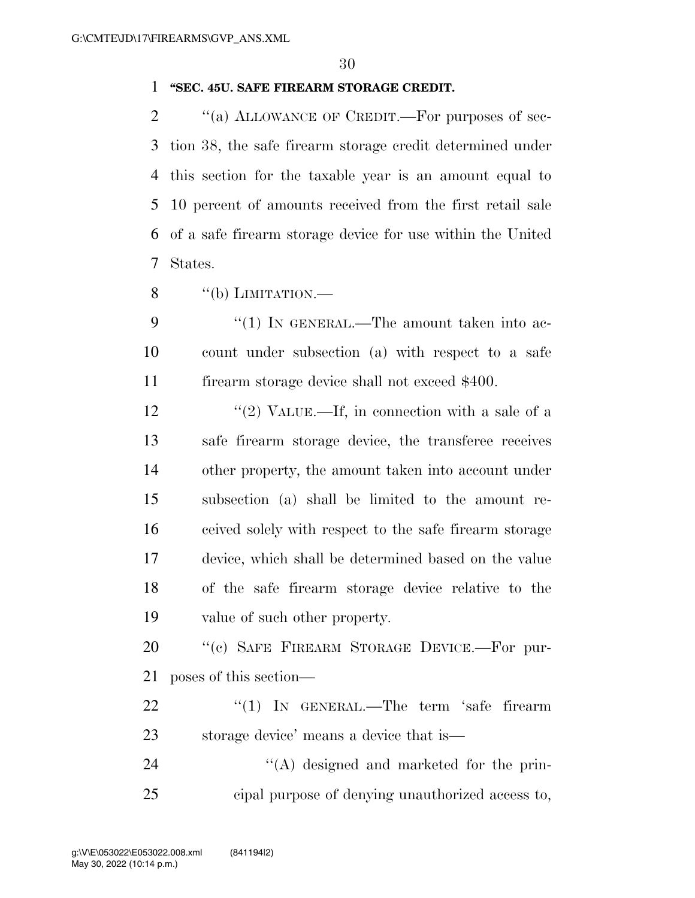### **''SEC. 45U. SAFE FIREARM STORAGE CREDIT.**

2 "(a) ALLOWANCE OF CREDIT.—For purposes of sec- tion 38, the safe firearm storage credit determined under this section for the taxable year is an amount equal to 10 percent of amounts received from the first retail sale of a safe firearm storage device for use within the United States.

- 8  $\qquad$  "(b) LIMITATION.
- 9 "(1) In GENERAL.—The amount taken into ac- count under subsection (a) with respect to a safe 11 firearm storage device shall not exceed \$400.
- 12  $\frac{12}{2}$  VALUE.—If, in connection with a sale of a safe firearm storage device, the transferee receives other property, the amount taken into account under subsection (a) shall be limited to the amount re- ceived solely with respect to the safe firearm storage device, which shall be determined based on the value of the safe firearm storage device relative to the value of such other property.
- 20 "(c) SAFE FIREARM STORAGE DEVICE.—For pur-poses of this section—
- 22 "(1) IN GENERAL.—The term 'safe firearm storage device' means a device that is—
- 24  $\langle (A)$  designed and marketed for the prin-cipal purpose of denying unauthorized access to,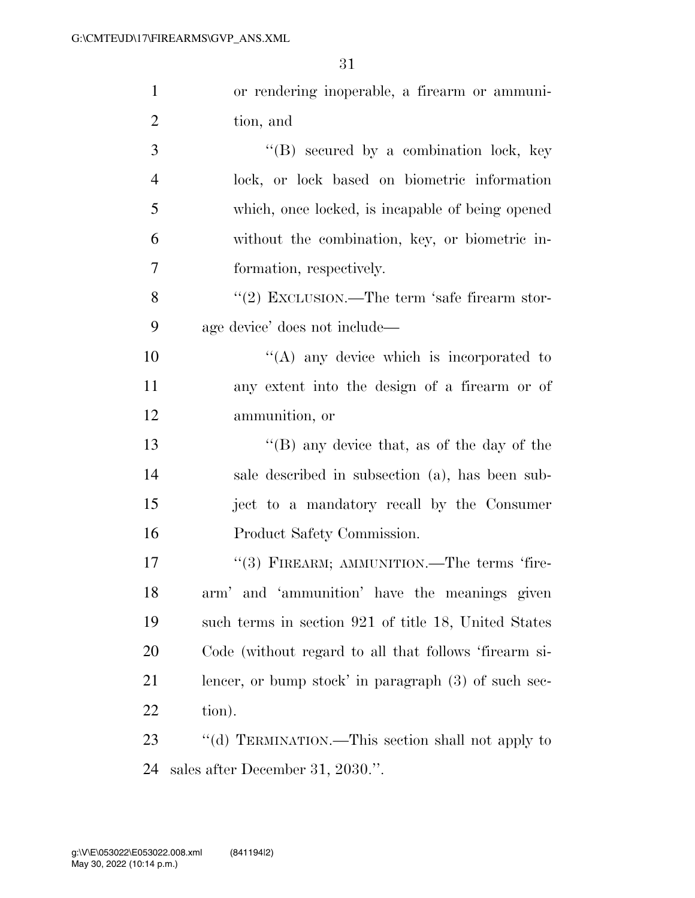| $\mathbf{1}$   | or rendering inoperable, a firearm or ammuni-          |
|----------------|--------------------------------------------------------|
| $\overline{2}$ | tion, and                                              |
| $\mathfrak{Z}$ | $\lq\lq (B)$ secured by a combination lock, key        |
| $\overline{4}$ | lock, or lock based on biometric information           |
| 5              | which, once locked, is incapable of being opened       |
| 6              | without the combination, key, or biometric in-         |
| $\overline{7}$ | formation, respectively.                               |
| 8              | "(2) EXCLUSION.—The term 'safe firearm stor-           |
| 9              | age device' does not include—                          |
| 10             | $\lq\lq$ any device which is incorporated to           |
| 11             | any extent into the design of a firearm or of          |
| 12             | ammunition, or                                         |
| 13             | "(B) any device that, as of the day of the             |
| 14             | sale described in subsection (a), has been sub-        |
| 15             | ject to a mandatory recall by the Consumer             |
| 16             | Product Safety Commission.                             |
| 17             | $``(3)$ FIREARM; AMMUNITION.—The terms 'fire-          |
| 18             | arm' and 'ammunition' have the meanings given          |
| 19             | such terms in section 921 of title 18, United States   |
| 20             | Code (without regard to all that follows 'firearm si-  |
| 21             | lencer, or bump stock' in paragraph $(3)$ of such sec- |
| 22             | tion).                                                 |
| 23             | "(d) TERMINATION.—This section shall not apply to      |
| 24             | sales after December 31, 2030.".                       |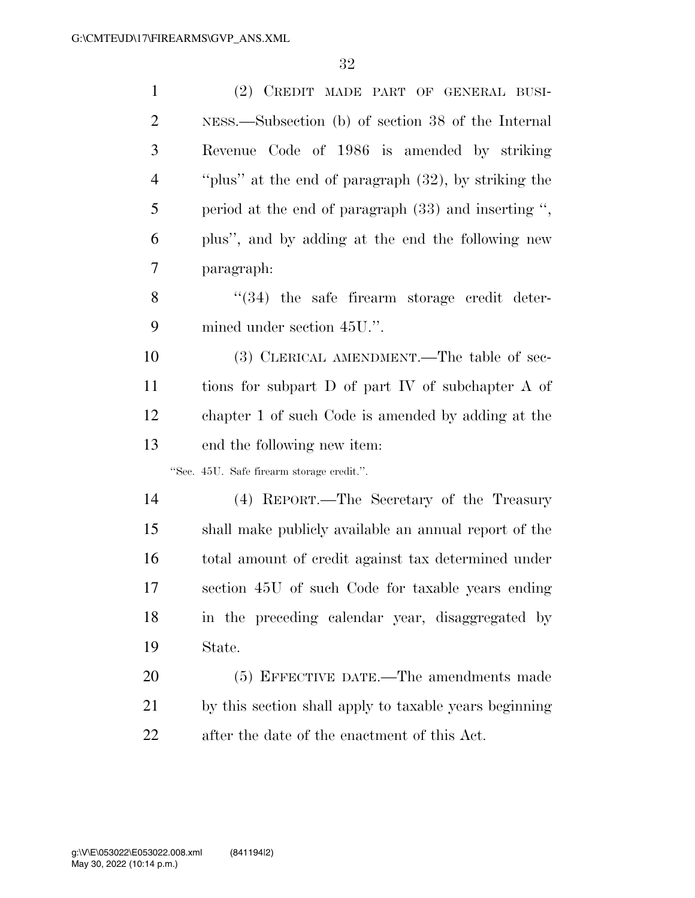| $\mathbf{1}$   | (2) CREDIT MADE PART OF GENERAL BUSI-                  |
|----------------|--------------------------------------------------------|
| $\overline{2}$ | NESS.—Subsection (b) of section 38 of the Internal     |
| 3              | Revenue Code of 1986 is amended by striking            |
| $\overline{4}$ | "plus" at the end of paragraph (32), by striking the   |
| 5              | period at the end of paragraph $(33)$ and inserting ", |
| 6              | plus", and by adding at the end the following new      |
| 7              | paragraph:                                             |
| 8              | "(34) the safe firearm storage credit deter-           |
| 9              | mined under section 45U.".                             |
| 10             | (3) CLERICAL AMENDMENT.—The table of sec-              |
| 11             | tions for subpart D of part IV of subchapter A of      |
| 12             | chapter 1 of such Code is amended by adding at the     |
| 13             | end the following new item:                            |
|                | "Sec. 45U. Safe firearm storage credit.".              |
| 14             | (4) REPORT.—The Secretary of the Treasury              |
| 15             | shall make publicly available an annual report of the  |
| 16             | total amount of credit against tax determined under    |
| 17             | section 45U of such Code for taxable years ending      |
| 18             | in the preceding calendar year, disaggregated by       |
| 19             | State.                                                 |
| 20             | (5) EFFECTIVE DATE.—The amendments made                |
| 21             | by this section shall apply to taxable years beginning |
| 22             | after the date of the enactment of this Act.           |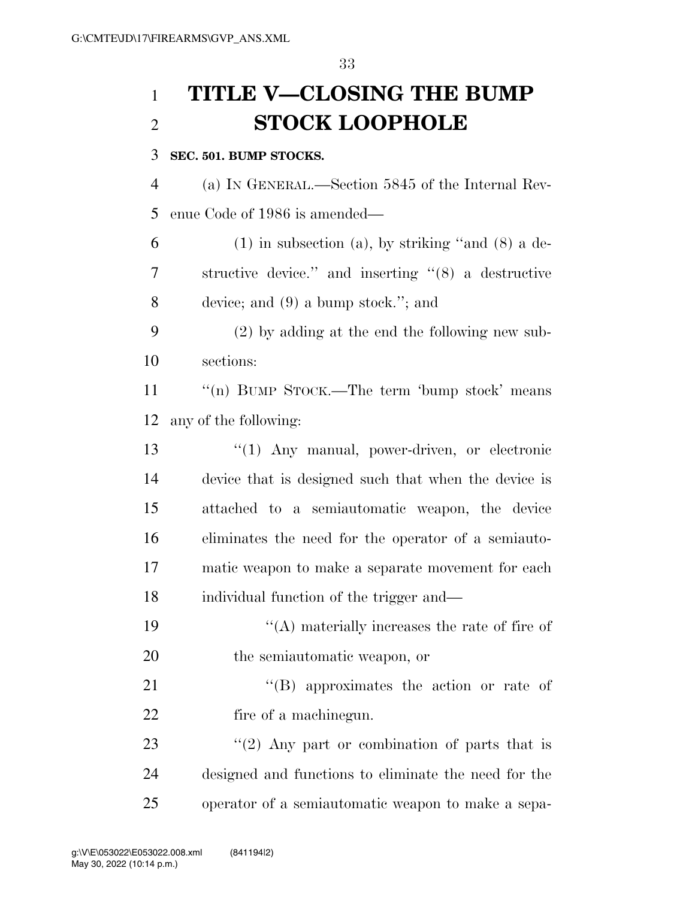# **TITLE V—CLOSING THE BUMP STOCK LOOPHOLE**

### **SEC. 501. BUMP STOCKS.**

 (a) IN GENERAL.—Section 5845 of the Internal Rev-enue Code of 1986 is amended—

 (1) in subsection (a), by striking "and (8) a de- structive device.'' and inserting ''(8) a destructive device; and (9) a bump stock.''; and

 (2) by adding at the end the following new sub-sections:

11 "(n) BUMP STOCK.—The term 'bump stock' means any of the following:

13 ''(1) Any manual, power-driven, or electronic device that is designed such that when the device is attached to a semiautomatic weapon, the device eliminates the need for the operator of a semiauto- matic weapon to make a separate movement for each individual function of the trigger and—

19  $\langle (A)$  materially increases the rate of fire of the semiautomatic weapon, or

21 ''(B) approximates the action or rate of fire of a machinegun.

23 ''(2) Any part or combination of parts that is designed and functions to eliminate the need for the operator of a semiautomatic weapon to make a sepa-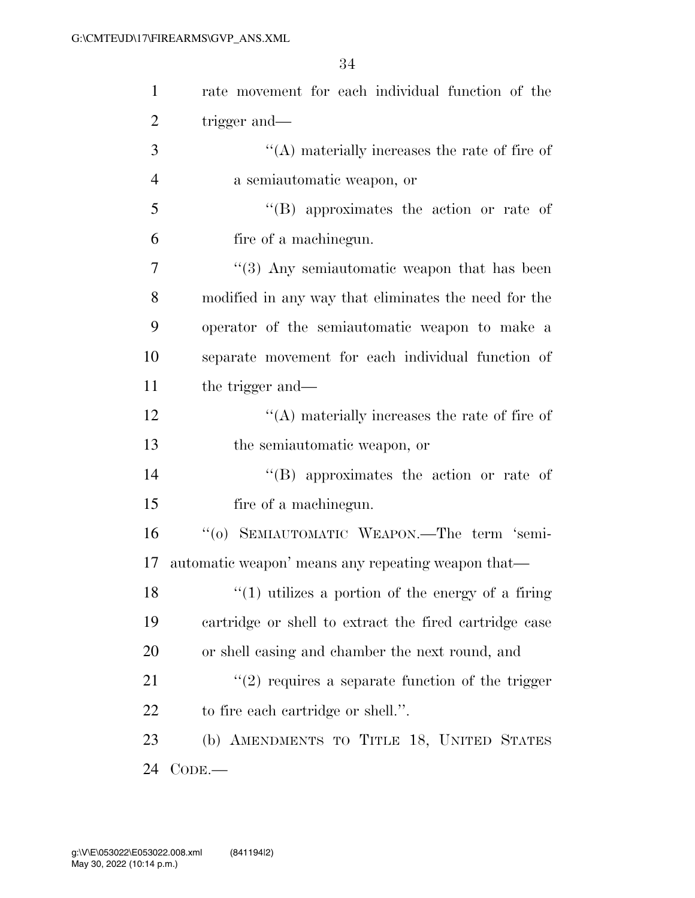| $\mathbf{1}$   | rate movement for each individual function of the       |
|----------------|---------------------------------------------------------|
| $\overline{2}$ | trigger and—                                            |
| 3              | $\lq\lq$ materially increases the rate of fire of       |
| $\overline{4}$ | a semiautomatic weapon, or                              |
| 5              | "(B) approximates the action or rate of                 |
| 6              | fire of a machinegun.                                   |
| 7              | $\cdot\cdot$ (3) Any semiautomatic weapon that has been |
| 8              | modified in any way that eliminates the need for the    |
| 9              | operator of the semiautomatic weapon to make a          |
| 10             | separate movement for each individual function of       |
| 11             | the trigger and—                                        |
| 12             | $\lq\lq$ materially increases the rate of fire of       |
| 13             | the semiautomatic weapon, or                            |
| 14             | "(B) approximates the action or rate of                 |
| 15             | fire of a machinegun.                                   |
| 16             | "(o) SEMIAUTOMATIC WEAPON.—The term 'semi-              |
| 17             | automatic weapon' means any repeating weapon that—      |
| 18             | $\lq(1)$ utilizes a portion of the energy of a firing   |
| 19             | cartridge or shell to extract the fired cartridge case  |
| 20             | or shell casing and chamber the next round, and         |
| 21             | $\lq(2)$ requires a separate function of the trigger    |
| 22             | to fire each cartridge or shell.".                      |
| 23             | (b) AMENDMENTS TO TITLE 18, UNITED STATES               |
| 24             | $CODE.$ —                                               |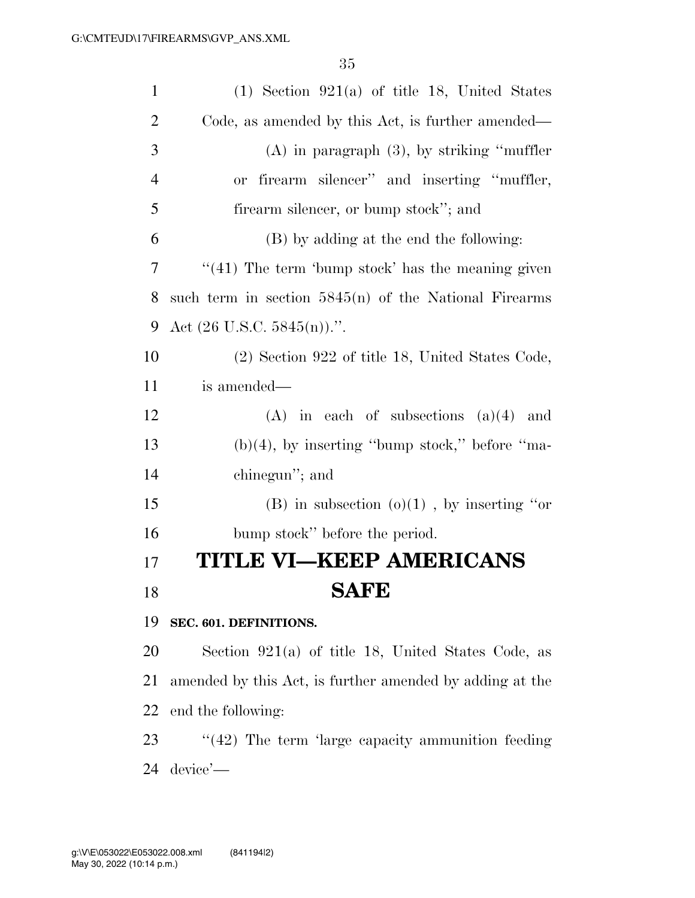| $\mathbf{1}$   | $(1)$ Section 921(a) of title 18, United States          |
|----------------|----------------------------------------------------------|
| $\overline{2}$ | Code, as amended by this Act, is further amended—        |
| 3              | $(A)$ in paragraph $(3)$ , by striking "muffler"         |
| $\overline{4}$ | or firearm silencer" and inserting "muffler,             |
| 5              | firearm silencer, or bump stock"; and                    |
| 6              | (B) by adding at the end the following:                  |
| 7              | $((41)$ The term 'bump stock' has the meaning given      |
| 8              | such term in section $5845(n)$ of the National Firearms  |
| 9              | Act $(26 \text{ U.S.C. } 5845(n))$ .".                   |
| 10             | (2) Section 922 of title 18, United States Code,         |
| 11             | is amended—                                              |
| 12             | $(A)$ in each of subsections $(a)(4)$ and                |
| 13             | $(b)(4)$ , by inserting "bump stock," before "ma-        |
| 14             | chinegun"; and                                           |
| 15             | (B) in subsection $(o)(1)$ , by inserting "or            |
| 16             | bump stock" before the period.                           |
| 17             | TITLE VI–KEEP AMERICANS                                  |
| 18             | <b>SAFE</b>                                              |
| 19             | SEC. 601. DEFINITIONS.                                   |
| 20             | Section $921(a)$ of title 18, United States Code, as     |
| 21             | amended by this Act, is further amended by adding at the |
| 22             | end the following:                                       |
| 23             | $\lq(42)$ The term 'large capacity ammunition feeding    |

device'—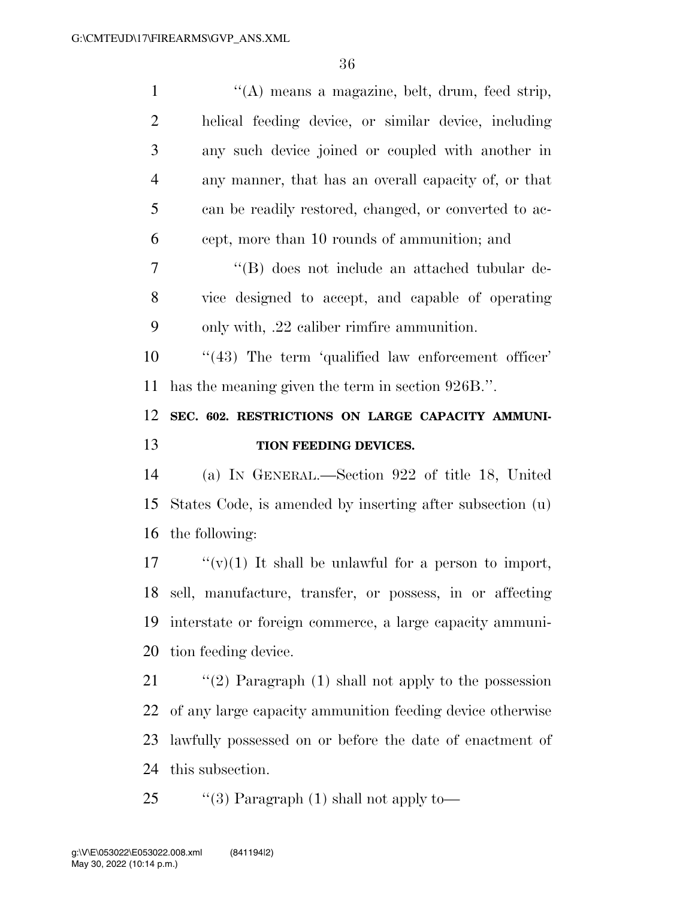| $\mathbf{1}$                                 | "(A) means a magazine, belt, drum, feed strip,            |
|----------------------------------------------|-----------------------------------------------------------|
| $\overline{2}$                               | helical feeding device, or similar device, including      |
| 3                                            | any such device joined or coupled with another in         |
| $\overline{4}$                               | any manner, that has an overall capacity of, or that      |
| 5                                            | can be readily restored, changed, or converted to ac-     |
| 6                                            | cept, more than 10 rounds of ammunition; and              |
| 7                                            | "(B) does not include an attached tubular de-             |
| 8                                            | vice designed to accept, and capable of operating         |
| 9                                            | only with, .22 caliber rimfire ammunition.                |
| 10                                           | "(43) The term 'qualified law enforcement officer'        |
| 11                                           | has the meaning given the term in section 926B.".         |
|                                              |                                                           |
| 12                                           | SEC. 602. RESTRICTIONS ON LARGE CAPACITY AMMUNI-          |
|                                              | TION FEEDING DEVICES.                                     |
|                                              | (a) IN GENERAL.—Section 922 of title 18, United           |
| 15                                           | States Code, is amended by inserting after subsection (u) |
| 16                                           | the following:                                            |
|                                              | " $(v)(1)$ It shall be unlawful for a person to import,   |
|                                              | sell, manufacture, transfer, or possess, in or affecting  |
|                                              | interstate or foreign commerce, a large capacity ammuni-  |
|                                              | tion feeding device.                                      |
|                                              | "(2) Paragraph $(1)$ shall not apply to the possession    |
| 13<br>14<br>17<br>18<br>19<br>20<br>21<br>22 | of any large capacity ammunition feeding device otherwise |
| 23                                           | lawfully possessed on or before the date of enactment of  |

this subsection.

25 ''(3) Paragraph (1) shall not apply to—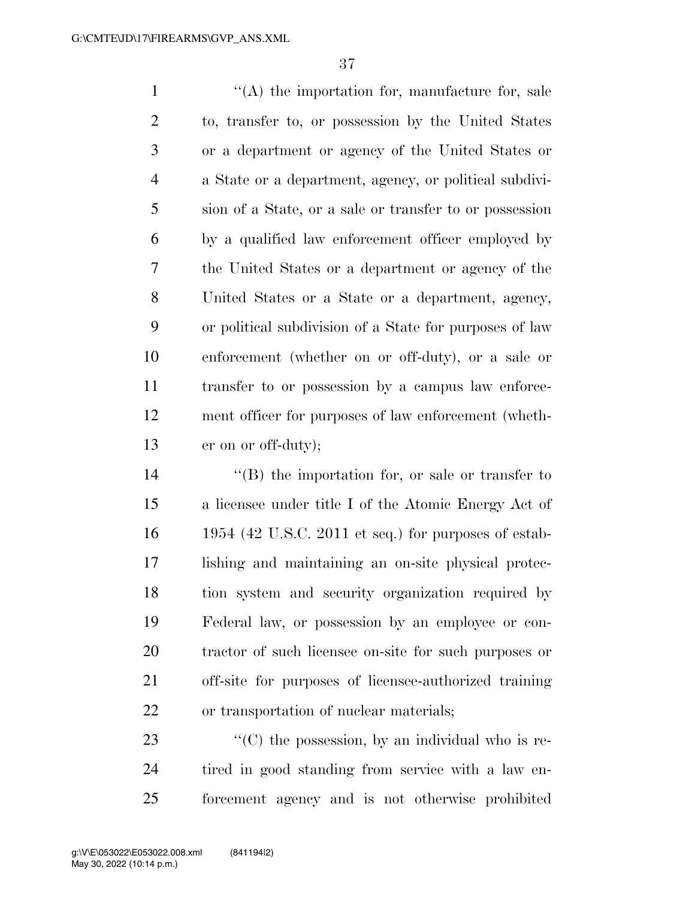$\langle (A)$  the importation for, manufacture for, sale to, transfer to, or possession by the United States or a department or agency of the United States or a State or a department, agency, or political subdivi- sion of a State, or a sale or transfer to or possession by a qualified law enforcement officer employed by the United States or a department or agency of the United States or a State or a department, agency, or political subdivision of a State for purposes of law enforcement (whether on or off-duty), or a sale or transfer to or possession by a campus law enforce- ment officer for purposes of law enforcement (wheth-er on or off-duty);

14 ''(B) the importation for, or sale or transfer to a licensee under title I of the Atomic Energy Act of 1954 (42 U.S.C. 2011 et seq.) for purposes of estab- lishing and maintaining an on-site physical protec- tion system and security organization required by Federal law, or possession by an employee or con- tractor of such licensee on-site for such purposes or off-site for purposes of licensee-authorized training or transportation of nuclear materials;

23  $\langle ^{\prime}(C) \rangle$  the possession, by an individual who is re- tired in good standing from service with a law en-forcement agency and is not otherwise prohibited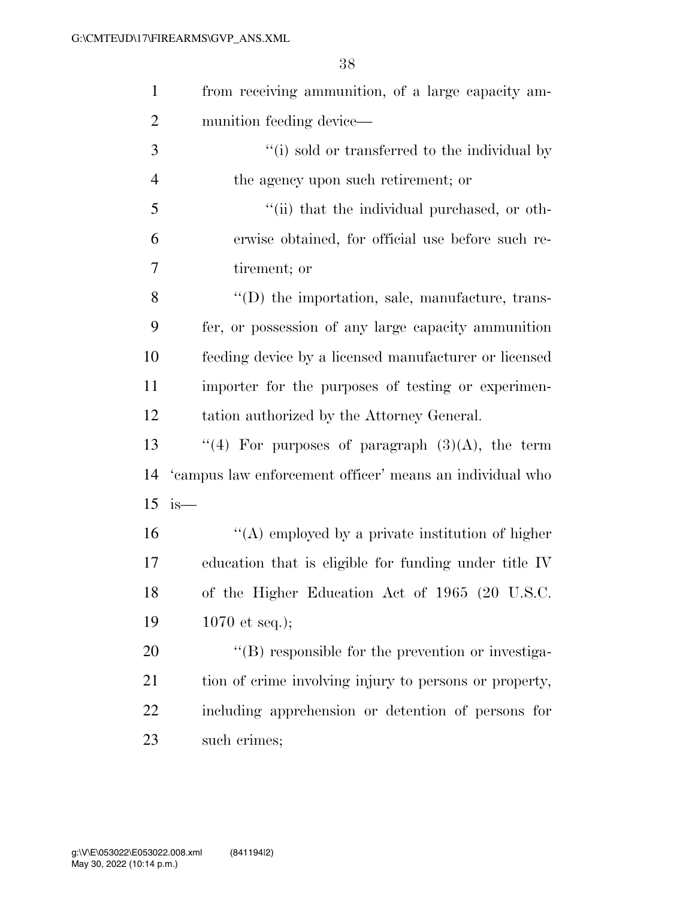| $\mathbf{1}$   | from receiving ammunition, of a large capacity am-        |
|----------------|-----------------------------------------------------------|
| $\overline{2}$ | munition feeding device—                                  |
| 3              | "(i) sold or transferred to the individual by             |
| $\overline{4}$ | the agency upon such retirement; or                       |
| 5              | "(ii) that the individual purchased, or oth-              |
| 6              | erwise obtained, for official use before such re-         |
| 7              | tirement; or                                              |
| 8              | "(D) the importation, sale, manufacture, trans-           |
| 9              | fer, or possession of any large capacity ammunition       |
| 10             | feeding device by a licensed manufacturer or licensed     |
| 11             | importer for the purposes of testing or experimen-        |
| 12             | tation authorized by the Attorney General.                |
| 13             | "(4) For purposes of paragraph $(3)(A)$ , the term        |
| 14             | 'eampus law enforcement officer' means an individual who  |
|                | $15$ is —                                                 |
| 16             | "(A) employed by a private institution of higher          |
| 17             | education that is eligible for funding under title IV     |
| 18             | of the Higher Education Act of 1965 (20 U.S.C.            |
| 19             | 1070 et seq.);                                            |
| 20             | $\lq\lq (B)$ responsible for the prevention or investiga- |
| 21             | tion of crime involving injury to persons or property,    |
| 22             | including apprehension or detention of persons for        |
| 23             | such crimes;                                              |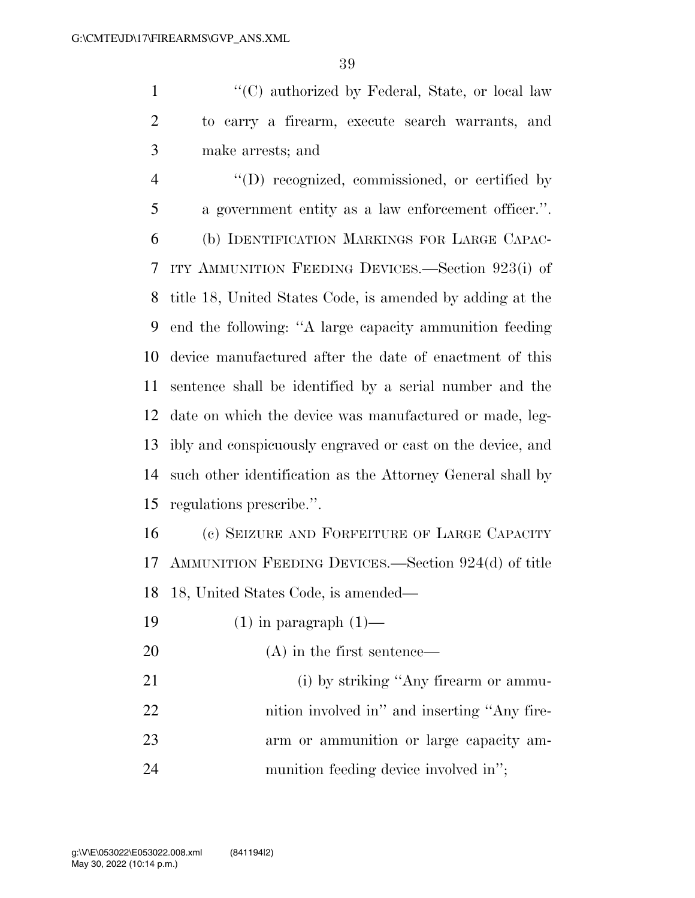1 ''(C) authorized by Federal, State, or local law to carry a firearm, execute search warrants, and make arrests; and

 $\langle\text{(D)}\rangle$  recognized, commissioned, or certified by a government entity as a law enforcement officer.''. (b) IDENTIFICATION MARKINGS FOR LARGE CAPAC- ITY AMMUNITION FEEDING DEVICES.—Section 923(i) of title 18, United States Code, is amended by adding at the end the following: ''A large capacity ammunition feeding device manufactured after the date of enactment of this sentence shall be identified by a serial number and the date on which the device was manufactured or made, leg- ibly and conspicuously engraved or cast on the device, and such other identification as the Attorney General shall by regulations prescribe.''.

 (c) SEIZURE AND FORFEITURE OF LARGE CAPACITY AMMUNITION FEEDING DEVICES.—Section 924(d) of title 18, United States Code, is amended—

19  $(1)$  in paragraph  $(1)$ —

(A) in the first sentence—

21 (i) by striking "Any firearm or ammu-22 nition involved in<sup>"</sup> and inserting "Any fire- arm or ammunition or large capacity am-munition feeding device involved in'';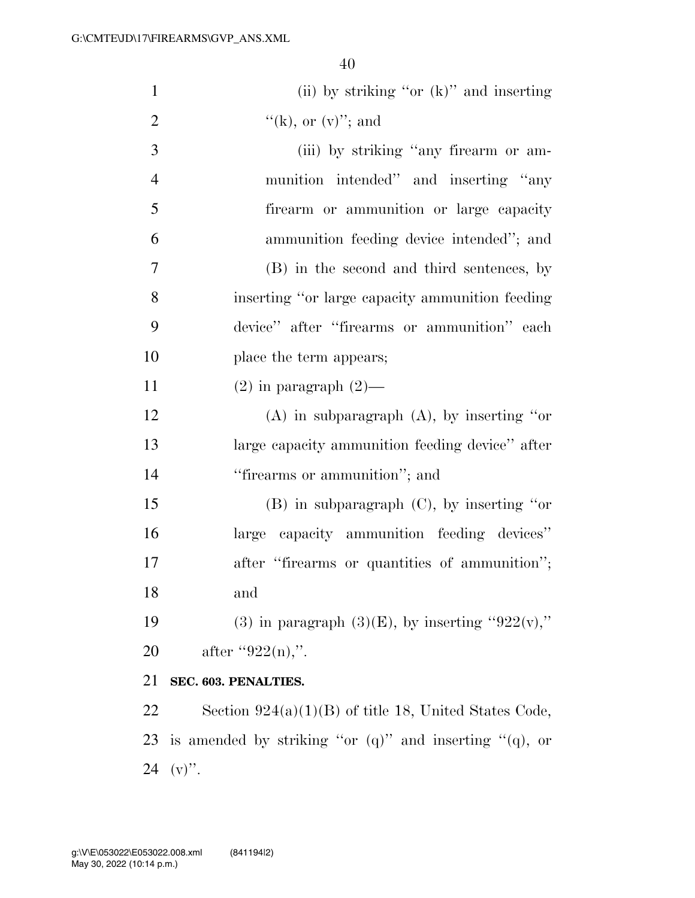| $\mathbf{1}$   | (ii) by striking "or $(k)$ " and inserting                    |
|----------------|---------------------------------------------------------------|
| $\overline{2}$ | "(k), or $(v)$ "; and                                         |
| 3              | (iii) by striking "any firearm or am-                         |
| $\overline{4}$ | munition intended" and inserting "any                         |
| 5              | firearm or ammunition or large capacity                       |
| 6              | ammunition feeding device intended"; and                      |
| $\tau$         | (B) in the second and third sentences, by                     |
| 8              | inserting "or large capacity ammunition feeding               |
| 9              | device" after "firearms or ammunition" each                   |
| 10             | place the term appears;                                       |
| 11             | $(2)$ in paragraph $(2)$ —                                    |
| 12             | $(A)$ in subparagraph $(A)$ , by inserting "or                |
| 13             | large capacity ammunition feeding device" after               |
| 14             | "firearms or ammunition"; and                                 |
| 15             | $(B)$ in subparagraph $(C)$ , by inserting "or                |
| 16             | large capacity ammunition feeding devices"                    |
| 17             | after "firearms or quantities of ammunition";                 |
| 18             | and                                                           |
| 19             | (3) in paragraph $(3)(E)$ , by inserting "922(v),"            |
| 20             | after "922(n),".                                              |
| 21             | SEC. 603. PENALTIES.                                          |
| 22             | Section $924(a)(1)(B)$ of title 18, United States Code,       |
| 23             | is amended by striking "or $(q)$ " and inserting " $(q)$ , or |
| 24             | $(v)$ .                                                       |